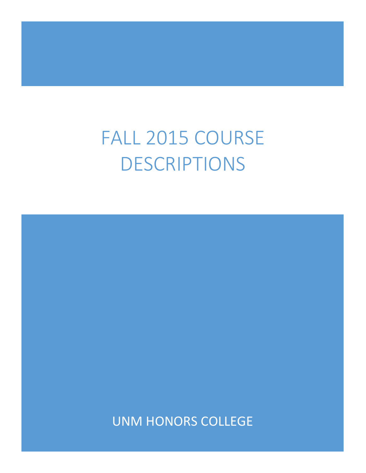# FALL 2015 COURSE DESCRIPTIONS

UNM HONORS COLLEGE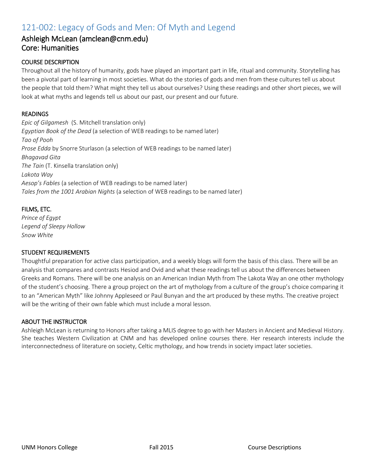# 121-002: Legacy of Gods and Men: Of Myth and Legend

### Ashleigh McLean (amclean@cnm.edu) Core: Humanities

#### COURSE DESCRIPTION

Throughout all the history of humanity, gods have played an important part in life, ritual and community. Storytelling has been a pivotal part of learning in most societies. What do the stories of gods and men from these cultures tell us about the people that told them? What might they tell us about ourselves? Using these readings and other short pieces, we will look at what myths and legends tell us about our past, our present and our future.

#### READINGS

*Epic of Gilgamesh* (S. Mitchell translation only) *Egyptian Book of the Dead* (a selection of WEB readings to be named later) *Tao of Pooh Prose Edda* by Snorre Sturlason (a selection of WEB readings to be named later) *Bhagavad Gita The Tain* (T. Kinsella translation only) *Lakota Way Aesop's Fables* (a selection of WEB readings to be named later) *Tales from the 1001 Arabian Nights* (a selection of WEB readings to be named later)

#### FILMS, ETC.

*Prince of Egypt Legend of Sleepy Hollow Snow White*

#### STUDENT REQUIREMENTS

Thoughtful preparation for active class participation, and a weekly blogs will form the basis of this class. There will be an analysis that compares and contrasts Hesiod and Ovid and what these readings tell us about the differences between Greeks and Romans. There will be one analysis on an American Indian Myth from The Lakota Way an one other mythology of the student's choosing. There a group project on the art of mythology from a culture of the group's choice comparing it to an "American Myth" like Johnny Appleseed or Paul Bunyan and the art produced by these myths. The creative project will be the writing of their own fable which must include a moral lesson.

#### ABOUT THE INSTRUCTOR

Ashleigh McLean is returning to Honors after taking a MLIS degree to go with her Masters in Ancient and Medieval History. She teaches Western Civilization at CNM and has developed online courses there. Her research interests include the interconnectedness of literature on society, Celtic mythology, and how trends in society impact later societies.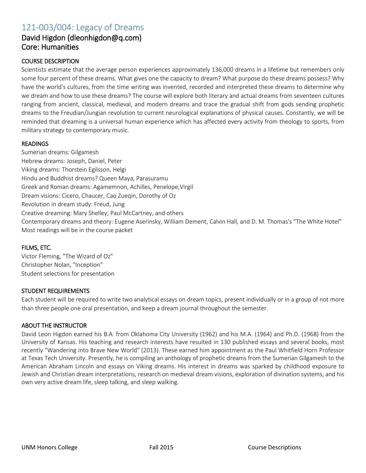# 121-003/004: Legacy of Dreams

### David Higdon (dleonhigdon@q.com) Core: Humanities

#### COURSE DESCRIPTION

Scientists estimate that the average person experiences approximately 136,000 dreams in a lifetime but remembers only some four percent of these dreams. What gives one the capacity to dream? What purpose do these dreams possess? Why have the world's cultures, from the time writing was invented, recorded and interpreted these dreams to determine why we dream and how to use these dreams? The course will explore both literary and actual dreams from seventeen cultures ranging from ancient, classical, medieval, and modern dreams and trace the gradual shift from gods sending prophetic dreams to the Freudian/Jungian revolution to current neurological explanations of physical causes. Constantly, we will be reminded that dreaming is a universal human experience which has affected every activity from theology to sports, from military strategy to contemporary music.

#### READINGS

Sumerian dreams: Gilgamesh Hebrew dreams: Joseph, Daniel, Peter Viking dreams: Thorstein Egilsson, Helgi Hindu and Buddhist dreams? Queen Maya, Parasuramu Greek and Roman dreams: Agamemnon, Achilles, Penelope,Virgil Dream visions: Cicero, Chaucer, Cao Zueqin, Dorothy of Oz Revolution in dream study: Freud, Jung Creative dreaming: Mary Shelley, Paul McCartney, and others Contemporary dreams and theory: Eugene Aserinsky, William Dement, Calvin Hall, and D. M. Thomas's "The White Hotel" Most readings will be in the course packet

#### FILMS, ETC.

Victor Fleming, "The Wizard of Oz" Christopher Nolan, "Inception" Student selections for presentation

#### STUDENT REQUIREMENTS

Each student will be required to write two analytical essays on dream topics, present individually or in a group of not more than three people one oral presentation, and keep a dream journal throughout the semester.

#### ABOUT THE INSTRUCTOR

David Leon Higdon earned his B.A. from Oklahoma City University (1962) and his M.A. (1964) and Ph.D. (1968) from the University of Kansas. His teaching and research interests have resulted in 130 published essays and several books, most recently "Wandering into Brave New World" (2013). These earned him appointment as the Paul Whitfield Horn Professor at Texas Tech University. Presently, he is compiling an anthology of prophetic dreams from the Sumerian Gilgamesh to the American Abraham Lincoln and essays on Viking dreams. His interest in dreams was sparked by childhood exposure to Jewish and Christian dream interpretations, research on medieval dream visions, exploration of divination systems, and his own very active dream life, sleep talking, and sleep walking.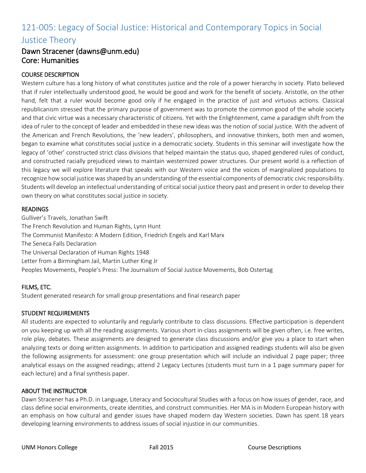# 121-005: Legacy of Social Justice: Historical and Contemporary Topics in Social Justice Theory

### Dawn Stracener (dawns@unm.edu) Core: Humanities

#### COURSE DESCRIPTION

Western culture has a long history of what constitutes justice and the role of a power hierarchy in society. Plato believed that if ruler intellectually understood good, he would be good and work for the benefit of society. Aristotle, on the other hand, felt that a ruler would become good only if he engaged in the practice of just and virtuous actions. Classical republicanism stressed that the primary purpose of government was to promote the common good of the whole society and that civic virtue was a necessary characteristic of citizens. Yet with the Enlightenment, came a paradigm shift from the idea of ruler to the concept of leader and embedded in these new ideas was the notion of social justice. With the advent of the American and French Revolutions, the 'new leaders', philosophers, and innovative thinkers, both men and women, began to examine what constitutes social justice in a democratic society. Students in this seminar will investigate how the legacy of 'other' constructed strict class divisions that helped maintain the status quo, shaped gendered rules of conduct, and constructed racially prejudiced views to maintain westernized power structures. Our present world is a reflection of this legacy we will explore literature that speaks with our Western voice and the voices of marginalized populations to recognize how social justice was shaped by an understanding of the essential components of democratic civic responsibility. Students will develop an intellectual understanding of critical social justice theory past and present in order to develop their own theory on what constitutes social justice in society.

#### **READINGS**

Gulliver's Travels, Jonathan Swift The French Revolution and Human Rights, Lynn Hunt The Communist Manifesto: A Modern Edition, Friedrich Engels and Karl Marx The Seneca Falls Declaration The Universal Declaration of Human Rights 1948 Letter from a Birmingham Jail, Martin Luther King Jr Peoples Movements, People's Press: The Journalism of Social Justice Movements, Bob Ostertag

#### FILMS, ETC.

Student generated research for small group presentations and final research paper

#### STUDENT REQUIREMENTS

All students are expected to voluntarily and regularly contribute to class discussions. Effective participation is dependent on you keeping up with all the reading assignments. Various short in-class assignments will be given often, i.e. free writes, role play, debates. These assignments are designed to generate class discussions and/or give you a place to start when analyzing texts or doing written assignments. In addition to participation and assigned readings students will also be given the following assignments for assessment: one group presentation which will include an individual 2 page paper; three analytical essays on the assigned readings; attend 2 Legacy Lectures (students must turn in a 1 page summary paper for each lecture) and a final synthesis paper.

#### ABOUT THE INSTRUCTOR

Dawn Stracener has a Ph.D. in Language, Literacy and Sociocultural Studies with a focus on how issues of gender, race, and class define social environments, create identities, and construct communities. Her MA is in Modern European history with an emphasis on how cultural and gender issues have shaped modern day Western societies. Dawn has spent 18 years developing learning environments to address issues of social injustice in our communities.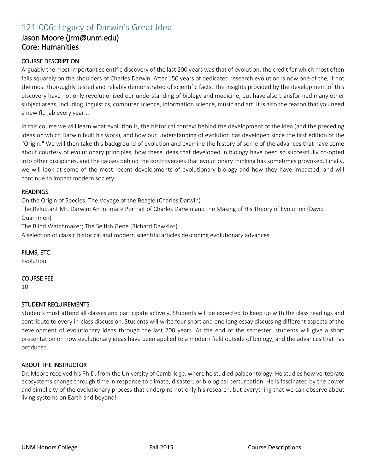# 121-006: Legacy of Darwin's Great Idea

### Jason Moore (jrm@unm.edu) Core: Humanities

#### COURSE DESCRIPTION

Arguably the most important scientific discovery of the last 200 years was that of evolution, the credit for which most often falls squarely on the shoulders of Charles Darwin. After 150 years of dedicated research evolution is now one of the, if not the most thoroughly tested and reliably demonstrated of scientific facts. The insights provided by the development of this discovery have not only revolutionised our understanding of biology and medicine, but have also transformed many other subject areas, including linguistics, computer science, information science, music and art. It is also the reason that you need a new flu jab every year...

In this course we will learn what evolution is, the historical context behind the development of the idea (and the preceding ideas on which Darwin built his work), and how our understanding of evolution has developed since the first edition of the "Origin." We will then take this background of evolution and examine the history of some of the advances that have come about courtesy of evolutionary principles, how these ideas that developed in biology have been so successfully co-opted into other disciplines, and the causes behind the controversies that evolutionary thinking has sometimes provoked. Finally, we will look at some of the most recent developments of evolutionary biology and how they have impacted, and will continue to impact modern society.

#### READINGS

On the Origin of Species; The Voyage of the Beagle (Charles Darwin)

The Reluctant Mr. Darwin: An Intimate Portrait of Charles Darwin and the Making of His Theory of Evolution (David Quammen)

The Blind Watchmaker; The Selfish Gene (Richard Dawkins)

A selection of classic historical and modern scientific articles describing evolutionary advances

#### FILMS, ETC.

Evolution

#### COURSE FEE

10

#### STUDENT REQUIREMENTS

Students must attend all classes and participate actively. Students will be expected to keep up with the class readings and contribute to every in-class discussion. Students will write four short and one long essay discussing different aspects of the development of evolutionary ideas through the last 200 years. At the end of the semester, students will give a short presentation on how evolutionary ideas have been applied to a modern field outside of biology, and the advances that has produced.

#### ABOUT THE INSTRUCTOR

Dr. Moore received his Ph.D. from the University of Cambridge, where he studied palaeontology. He studies how vertebrate ecosystems change through time in response to climate, disaster, or biological perturbation. He is fascinated by the power and simplicity of the evolutionary process that underpins not only his research, but everything that we can observe about living systems on Earth and beyond!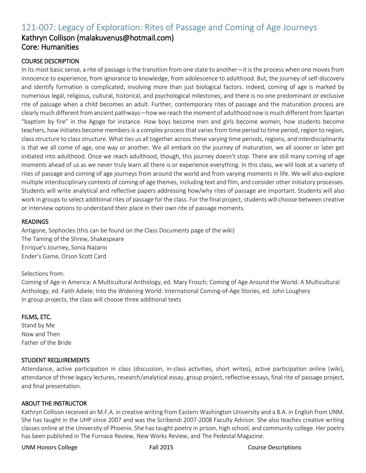# 121-007: Legacy of Exploration: Rites of Passage and Coming of Age Journeys Kathryn Collison (malakuvenus@hotmail.com) Core: Humanities

#### COURSE DESCRIPTION

In its most basic sense, a rite of passage is the transition from one state to another—it is the process when one moves from innocence to experience, from ignorance to knowledge, from adolescence to adulthood. But, the journey of self-discovery and identify formation is complicated, involving more than just biological factors. Indeed, coming of age is marked by numerious legal, religious, cultural, historical, and psychological milestones, and there is no one predominant or exclusive rite of passage when a child becomes an adult. Further, contemporary rites of passage and the maturation process are clearly much different from ancient pathways—how we reach the moment of adulthood now is much different from Spartan "baptism by fire" in the Agoge for instance. How boys become men and girls become women, how students become teachers, how initiates become members is a complex process that varies from time period to time period, region to region, class structure to class structure. What ties us all together across these varying time periods, regions, and interdisciplinarity is that we all come of age, one way or another. We all embark on the journey of maturation, we all sooner or later get initiated into adulthood. Once we reach adulthood, though, this journey doesn't stop. There are still many coming of age moments ahead of us as we never truly learn all there is or experience everything. In this class, we will look at a variety of rites of passage and coming of age journeys from around the world and from varying moments in life. We will also explore multiple interdisciplinary contexts of coming of age themes, including text and film, and consider other initiatory processes. Students will write analytical and reflective papers addressing how/why rites of passage are important. Students will also work in groups to select additional rites of passage for the class. For the final project, students will choose between creative or interview options to understand their place in their own rite of passage moments.

#### **READINGS**

Antigone, Sophocles (this can be found on the Class Documents page of the wiki) The Taming of the Shrew, Shakespeare Enrique's Journey, Sonia Nazario Ender's Game, Orson Scott Card

#### Selections from:

Coming of Age in America: A Multicultural Anthology, ed. Mary Frosch; Coming of Age Around the World: A Multicultural Anthology, ed. Faith Adiele; Into the Widening World: International Coming-of-Age Stories, ed. John Loughery In group projects, the class will choose three additional texts

#### FILMS, ETC.

Stand by Me Now and Then Father of the Bride

#### STUDENT REQUIREMENTS

Attendance, active participation in class (discussion, in-class activities, short writes), active participation online (wiki), attendance of three legacy lectures, research/analytical essay, group project, reflective essays, final rite of passage project, and final presentation.

#### ABOUT THE INSTRUCTOR

Kathryn Collison received an M.F.A. in creative writing from Eastern Washington University and a B.A. in English from UNM. She has taught in the UHP since 2007 and was the Scribendi 2007-2008 Faculty Advisor. She also teaches creative writing classes online at the University of Phoenix. She has taught poetry in prison, high school, and community college. Her poetry has been published in The Furnace Review, New Works Review, and The Pedestal Magazine.

#### UNM Honors College Fall 2015 Course Descriptions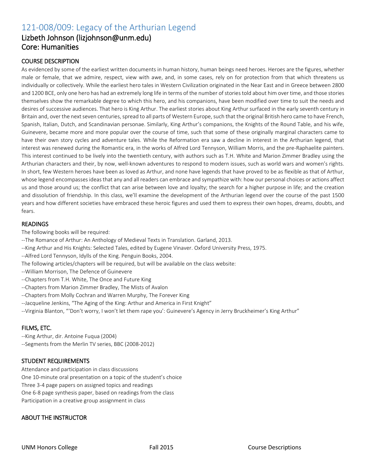# 121-008/009: Legacy of the Arthurian Legend

## Lizbeth Johnson (lizjohnson@unm.edu) Core: Humanities

#### COURSE DESCRIPTION

As evidenced by some of the earliest written documents in human history, human beings need heroes. Heroes are the figures, whether male or female, that we admire, respect, view with awe, and, in some cases, rely on for protection from that which threatens us individually or collectively. While the earliest hero tales in Western Civilization originated in the Near East and in Greece between 2800 and 1200 BCE, only one hero has had an extremely long life in terms of the number of stories told about him over time, and those stories themselves show the remarkable degree to which this hero, and his companions, have been modified over time to suit the needs and desires of successive audiences. That hero is King Arthur. The earliest stories about King Arthur surfaced in the early seventh century in Britain and, over the next seven centuries, spread to all parts of Western Europe, such that the original British hero came to have French, Spanish, Italian, Dutch, and Scandinavian personae. Similarly, King Arthur's companions, the Knights of the Round Table, and his wife, Guinevere, became more and more popular over the course of time, such that some of these originally marginal characters came to have their own story cycles and adventure tales. While the Reformation era saw a decline in interest in the Arthurian legend, that interest was renewed during the Romantic era, in the works of Alfred Lord Tennyson, William Morris, and the pre-Raphaelite painters. This interest continued to be lively into the twentieth century, with authors such as T.H. White and Marion Zimmer Bradley using the Arthurian characters and their, by now, well-known adventures to respond to modern issues, such as world wars and women's rights. In short, few Western heroes have been as loved as Arthur, and none have legends that have proved to be as flexible as that of Arthur, whose legend encompasses ideas that any and all readers can embrace and sympathize with: how our personal choices or actions affect us and those around us; the conflict that can arise between love and loyalty; the search for a higher purpose in life; and the creation and dissolution of friendship. In this class, we'll examine the development of the Arthurian legend over the course of the past 1500 years and how different societies have embraced these heroic figures and used them to express their own hopes, dreams, doubts, and fears.

#### READINGS

The following books will be required:

- --The Romance of Arthur: An Anthology of Medieval Texts in Translation. Garland, 2013.
- --King Arthur and His Knights: Selected Tales, edited by Eugene Vinaver. Oxford University Press, 1975.
- --Alfred Lord Tennyson, Idylls of the King. Penguin Books, 2004.
- The following articles/chapters will be required, but will be available on the class website:
- --William Morrison, The Defence of Guinevere
- --Chapters from T.H. White, The Once and Future King
- --Chapters from Marion Zimmer Bradley, The Mists of Avalon
- --Chapters from Molly Cochran and Warren Murphy, The Forever King
- --Jacqueline Jenkins, "The Aging of the King: Arthur and America in First Knight"
- --Virginia Blanton, "'Don't worry, I won't let them rape you': Guinevere's Agency in Jerry Bruckheimer's King Arthur"

#### FILMS, ETC.

- --King Arthur, dir. Antoine Fuqua (2004)
- --Segments from the Merlin TV series, BBC (2008-2012)

#### STUDENT REQUIREMENTS

Attendance and participation in class discussions One 10-minute oral presentation on a topic of the student's choice Three 3-4 page papers on assigned topics and readings One 6-8 page synthesis paper, based on readings from the class Participation in a creative group assignment in class

#### ABOUT THE INSTRUCTOR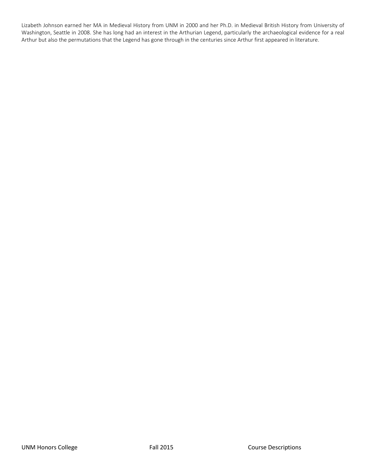Lizabeth Johnson earned her MA in Medieval History from UNM in 2000 and her Ph.D. in Medieval British History from University of Washington, Seattle in 2008. She has long had an interest in the Arthurian Legend, particularly the archaeological evidence for a real Arthur but also the permutations that the Legend has gone through in the centuries since Arthur first appeared in literature.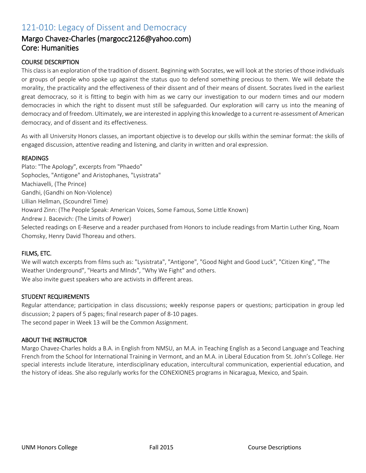# 121-010: Legacy of Dissent and Democracy

### Margo Chavez-Charles (margocc2126@yahoo.com) Core: Humanities

#### COURSE DESCRIPTION

This class is an exploration of the tradition of dissent. Beginning with Socrates, we will look at the stories of those individuals or groups of people who spoke up against the status quo to defend something precious to them. We will debate the morality, the practicality and the effectiveness of their dissent and of their means of dissent. Socrates lived in the earliest great democracy, so it is fitting to begin with him as we carry our investigation to our modern times and our modern democracies in which the right to dissent must still be safeguarded. Our exploration will carry us into the meaning of democracy and of freedom. Ultimately, we are interested in applying this knowledge to a current re-assessment of American democracy, and of dissent and its effectiveness.

As with all University Honors classes, an important objective is to develop our skills within the seminar format: the skills of engaged discussion, attentive reading and listening, and clarity in written and oral expression.

#### READINGS

Plato: "The Apology", excerpts from "Phaedo" Sophocles, "Antigone" and Aristophanes, "Lysistrata" Machiavelli, (The Prince) Gandhi, (Gandhi on Non-Violence) Lillian Hellman, (Scoundrel Time) Howard Zinn: (The People Speak: American Voices, Some Famous, Some Little Known) Andrew J. Bacevich: (The Limits of Power) Selected readings on E-Reserve and a reader purchased from Honors to include readings from Martin Luther King, Noam Chomsky, Henry David Thoreau and others.

#### FILMS, ETC.

We will watch excerpts from films such as: "Lysistrata", "Antigone", "Good Night and Good Luck", "Citizen King", "The Weather Underground", "Hearts and MInds", "Why We Fight" and others. We also invite guest speakers who are activists in different areas.

#### STUDENT REQUIREMENTS

Regular attendance; participation in class discussions; weekly response papers or questions; participation in group led discussion; 2 papers of 5 pages; final research paper of 8-10 pages. The second paper in Week 13 will be the Common Assignment.

#### ABOUT THE INSTRUCTOR

Margo Chavez-Charles holds a B.A. in English from NMSU, an M.A. in Teaching English as a Second Language and Teaching French from the School for International Training in Vermont, and an M.A. in Liberal Education from St. John's College. Her special interests include literature, interdisciplinary education, intercultural communication, experiential education, and the history of ideas. She also regularly works for the CONEXIONES programs in Nicaragua, Mexico, and Spain.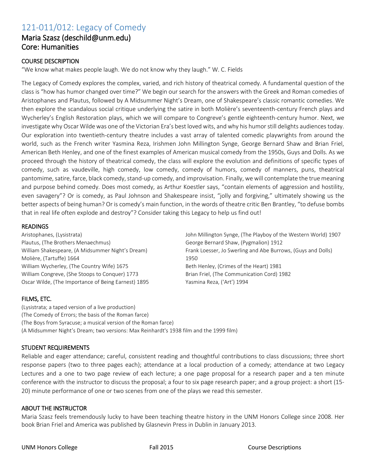# 121-011/012: Legacy of Comedy

### Maria Szasz (deschild@unm.edu) Core: Humanities

#### COURSE DESCRIPTION

"We know what makes people laugh. We do not know why they laugh." W. C. Fields

The Legacy of Comedy explores the complex, varied, and rich history of theatrical comedy. A fundamental question of the class is "how has humor changed over time?" We begin our search for the answers with the Greek and Roman comedies of Aristophanes and Plautus, followed by A Midsummer Night's Dream, one of Shakespeare's classic romantic comedies. We then explore the scandalous social critique underlying the satire in both Molière's seventeenth-century French plays and Wycherley's English Restoration plays, which we will compare to Congreve's gentle eighteenth-century humor. Next, we investigate why Oscar Wilde was one of the Victorian Era's best loved wits, and why his humor still delights audiences today. Our exploration into twentieth-century theatre includes a vast array of talented comedic playwrights from around the world, such as the French writer Yasmina Reza, Irishmen John Millington Synge, George Bernard Shaw and Brian Friel, American Beth Henley, and one of the finest examples of American musical comedy from the 1950s, Guys and Dolls. As we proceed through the history of theatrical comedy, the class will explore the evolution and definitions of specific types of comedy, such as vaudeville, high comedy, low comedy, comedy of humors, comedy of manners, puns, theatrical pantomime, satire, farce, black comedy, stand-up comedy, and improvisation. Finally, we will contemplate the true meaning and purpose behind comedy. Does most comedy, as Arthur Koestler says, "contain elements of aggression and hostility, even savagery"? Or is comedy, as Paul Johnson and Shakespeare insist, "jolly and forgiving," ultimately showing us the better aspects of being human? Or is comedy's main function, in the words of theatre critic Ben Brantley, "to defuse bombs that in real life often explode and destroy"? Consider taking this Legacy to help us find out!

1950

#### READINGS

Aristophanes, (Lysistrata) Plautus, (The Brothers Menaechmus) William Shakespeare, (A Midsummer Night's Dream) Molière, (Tartuffe) 1664 William Wycherley, (The Country Wife) 1675 William Congreve, (She Stoops to Conquer) 1773 Oscar Wilde, (The Importance of Being Earnest) 1895

#### FILMS, ETC.

(Lysistrata; a taped version of a live production) (The Comedy of Errors; the basis of the Roman farce) (The Boys from Syracuse; a musical version of the Roman farce) (A Midsummer Night's Dream; two versions: Max Reinhardt's 1938 film and the 1999 film)

#### STUDENT REQUIREMENTS

Reliable and eager attendance; careful, consistent reading and thoughtful contributions to class discussions; three short response papers (two to three pages each); attendance at a local production of a comedy; attendance at two Legacy Lectures and a one to two page review of each lecture; a one page proposal for a research paper and a ten minute conference with the instructor to discuss the proposal; a four to six page research paper; and a group project: a short (15- 20) minute performance of one or two scenes from one of the plays we read this semester.

#### ABOUT THE INSTRUCTOR

Maria Szasz feels tremendously lucky to have been teaching theatre history in the UNM Honors College since 2008. Her book Brian Friel and America was published by Glasnevin Press in Dublin in January 2013.

John Millington Synge, (The Playboy of the Western World) 1907

Frank Loesser, Jo Swerling and Abe Burrows, (Guys and Dolls)

George Bernard Shaw, (Pygmalion) 1912

Beth Henley, (Crimes of the Heart) 1981 Brian Friel, (The Communication Cord) 1982

Yasmina Reza, ('Art') 1994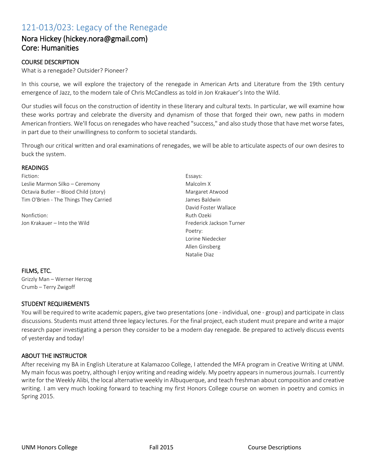# 121-013/023: Legacy of the Renegade

### Nora Hickey (hickey.nora@gmail.com) Core: Humanities

#### COURSE DESCRIPTION

What is a renegade? Outsider? Pioneer?

In this course, we will explore the trajectory of the renegade in American Arts and Literature from the 19th century emergence of Jazz, to the modern tale of Chris McCandless as told in Jon Krakauer's Into the Wild.

Our studies will focus on the construction of identity in these literary and cultural texts. In particular, we will examine how these works portray and celebrate the diversity and dynamism of those that forged their own, new paths in modern American frontiers. We'll focus on renegades who have reached "success," and also study those that have met worse fates, in part due to their unwillingness to conform to societal standards.

Through our critical written and oral examinations of renegades, we will be able to articulate aspects of our own desires to buck the system.

#### READINGS

Fiction: Leslie Marmon Silko – Ceremony Octavia Butler – Blood Child (story) Tim O'Brien - The Things They Carried

Nonfiction: Jon Krakauer – Into the Wild Essays: Malcolm X Margaret Atwood James Baldwin David Foster Wallace Ruth Ozeki Frederick Jackson Turner Poetry: Lorine Niedecker Allen Ginsberg Natalie Diaz

#### FILMS, ETC.

Grizzly Man – Werner Herzog Crumb – Terry Zwigoff

#### STUDENT REQUIREMENTS

You will be required to write academic papers, give two presentations (one - individual, one - group) and participate in class discussions. Students must attend three legacy lectures. For the final project, each student must prepare and write a major research paper investigating a person they consider to be a modern day renegade. Be prepared to actively discuss events of yesterday and today!

#### ABOUT THE INSTRUCTOR

After receiving my BA in English Literature at Kalamazoo College, I attended the MFA program in Creative Writing at UNM. My main focus was poetry, although I enjoy writing and reading widely. My poetry appears in numerous journals. I currently write for the Weekly Alibi, the local alternative weekly in Albuquerque, and teach freshman about composition and creative writing. I am very much looking forward to teaching my first Honors College course on women in poetry and comics in Spring 2015.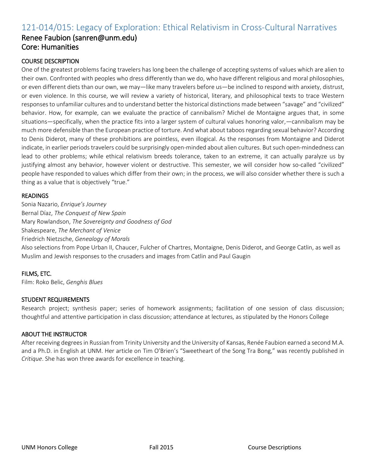# 121-014/015: Legacy of Exploration: Ethical Relativism in Cross-Cultural Narratives

### Renee Faubion (sanren@unm.edu) Core: Humanities

#### COURSE DESCRIPTION

One of the greatest problems facing travelers has long been the challenge of accepting systems of values which are alien to their own. Confronted with peoples who dress differently than we do, who have different religious and moral philosophies, or even different diets than our own, we may—like many travelers before us—be inclined to respond with anxiety, distrust, or even violence. In this course, we will review a variety of historical, literary, and philosophical texts to trace Western responses to unfamiliar cultures and to understand better the historical distinctions made between "savage" and "civilized" behavior. How, for example, can we evaluate the practice of cannibalism? Michel de Montaigne argues that, in some situations—specifically, when the practice fits into a larger system of cultural values honoring valor,—cannibalism may be much more defensible than the European practice of torture. And what about taboos regarding sexual behavior? According to Denis Diderot, many of these prohibitions are pointless, even illogical. As the responses from Montaigne and Diderot indicate, in earlier periods travelers could be surprisingly open-minded about alien cultures. But such open-mindedness can lead to other problems; while ethical relativism breeds tolerance, taken to an extreme, it can actually paralyze us by justifying almost any behavior, however violent or destructive. This semester, we will consider how so-called "civilized" people have responded to values which differ from their own; in the process, we will also consider whether there is such a thing as a value that is objectively "true."

#### READINGS

Sonia Nazario, *Enrique's Journey* Bernal Díaz, *The Conquest of New Spain* Mary Rowlandson, *The Sovereignty and Goodness of God* Shakespeare, *The Merchant of Venice* Friedrich Nietzsche, *Genealogy of Morals* Also selections from Pope Urban II, Chaucer, Fulcher of Chartres, Montaigne, Denis Diderot, and George Catlin, as well as Muslim and Jewish responses to the crusaders and images from Catlin and Paul Gaugin

#### FILMS, ETC.

Film: Roko Belic, *Genghis Blues*

#### STUDENT REQUIREMENTS

Research project; synthesis paper; series of homework assignments; facilitation of one session of class discussion; thoughtful and attentive participation in class discussion; attendance at lectures, as stipulated by the Honors College

#### ABOUT THE INSTRUCTOR

After receiving degrees in Russian from Trinity University and the University of Kansas, Renée Faubion earned a second M.A. and a Ph.D. in English at UNM. Her article on Tim O'Brien's "Sweetheart of the Song Tra Bong," was recently published in *Critique*. She has won three awards for excellence in teaching.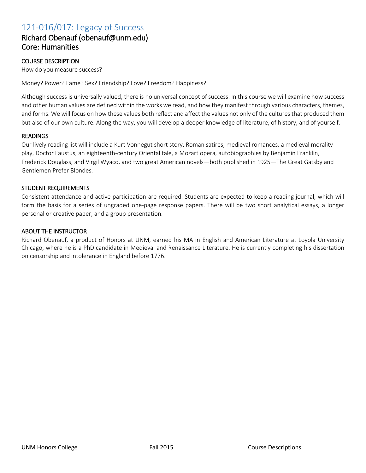# 121-016/017: Legacy of Success

### Richard Obenauf (obenauf@unm.edu) Core: Humanities

#### COURSE DESCRIPTION

How do you measure success?

Money? Power? Fame? Sex? Friendship? Love? Freedom? Happiness?

Although success is universally valued, there is no universal concept of success. In this course we will examine how success and other human values are defined within the works we read, and how they manifest through various characters, themes, and forms. We will focus on how these values both reflect and affect the values not only of the cultures that produced them but also of our own culture. Along the way, you will develop a deeper knowledge of literature, of history, and of yourself.

#### **READINGS**

Our lively reading list will include a Kurt Vonnegut short story, Roman satires, medieval romances, a medieval morality play, Doctor Faustus, an eighteenth-century Oriental tale, a Mozart opera, autobiographies by Benjamin Franklin, Frederick Douglass, and Virgil Wyaco, and two great American novels—both published in 1925—The Great Gatsby and Gentlemen Prefer Blondes.

#### STUDENT REQUIREMENTS

Consistent attendance and active participation are required. Students are expected to keep a reading journal, which will form the basis for a series of ungraded one-page response papers. There will be two short analytical essays, a longer personal or creative paper, and a group presentation.

#### ABOUT THE INSTRUCTOR

Richard Obenauf, a product of Honors at UNM, earned his MA in English and American Literature at Loyola University Chicago, where he is a PhD candidate in Medieval and Renaissance Literature. He is currently completing his dissertation on censorship and intolerance in England before 1776.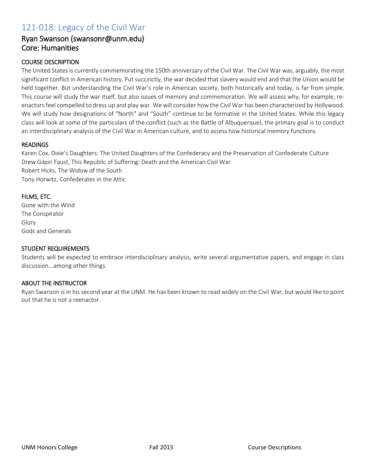# 121-018: Legacy of the Civil War

### Ryan Swanson (swansonr@unm.edu) Core: Humanities

#### COURSE DESCRIPTION

The United States is currently commemorating the 150th anniversary of the Civil War. The Civil War was, arguably, the most significant conflict in American history. Put succinctly, the war decided that slavery would end and that the Union would be held together. But understanding the Civil War's role in American society, both historically and today, is far from simple. This course will study the war itself, but also issues of memory and commemoration. We will assess why, for example, reenactors feel compelled to dress up and play war. We will consider how the Civil War has been characterized by Hollywood. We will study how designations of "North" and "South" continue to be formative in the United States. While this legacy class will look at some of the particulars of the conflict (such as the Battle of Albuquerque), the primary goal is to conduct an interdisciplinary analysis of the Civil War in American culture, and to assess how historical memory functions.

#### READINGS

Karen Cox, Dixie's Daughters: The United Daughters of the Confederacy and the Preservation of Confederate Culture Drew Gilpin Faust, This Republic of Suffering: Death and the American Civil War Robert Hicks, The Widow of the South Tony Horwitz, Confederates in the Attic

#### FILMS, ETC.

Gone with the Wind The Conspirator Glory Gods and Generals

#### STUDENT REQUIREMENTS

Students will be expected to embrace interdisciplinary analysis, write several argumentative papers, and engage in class discussion...among other things.

#### ABOUT THE INSTRUCTOR

Ryan Swanson is in his second year at the UNM. He has been known to read widely on the Civil War, but would like to point out that he is not a reenactor.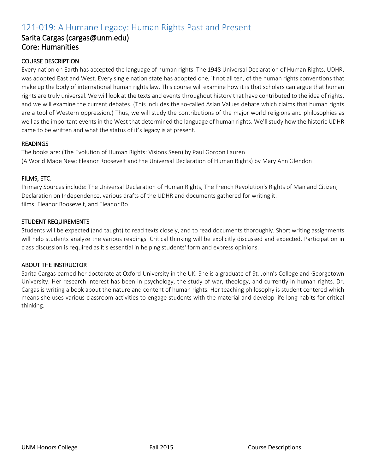# 121-019: A Humane Legacy: Human Rights Past and Present

### Sarita Cargas (cargas@unm.edu) Core: Humanities

#### COURSE DESCRIPTION

Every nation on Earth has accepted the language of human rights. The 1948 Universal Declaration of Human Rights, UDHR, was adopted East and West. Every single nation state has adopted one, if not all ten, of the human rights conventions that make up the body of international human rights law. This course will examine how it is that scholars can argue that human rights are truly universal. We will look at the texts and events throughout history that have contributed to the idea of rights, and we will examine the current debates. (This includes the so-called Asian Values debate which claims that human rights are a tool of Western oppression.) Thus, we will study the contributions of the major world religions and philosophies as well as the important events in the West that determined the language of human rights. We'll study how the historic UDHR came to be written and what the status of it's legacy is at present.

#### READINGS

The books are: (The Evolution of Human Rights: Visions Seen) by Paul Gordon Lauren (A World Made New: Eleanor Roosevelt and the Universal Declaration of Human Rights) by Mary Ann Glendon

#### FILMS, ETC.

Primary Sources include: The Universal Declaration of Human Rights, The French Revolution's Rights of Man and Citizen, Declaration on Independence, various drafts of the UDHR and documents gathered for writing it. films: Eleanor Roosevelt, and Eleanor Ro

#### STUDENT REQUIREMENTS

Students will be expected (and taught) to read texts closely, and to read documents thoroughly. Short writing assignments will help students analyze the various readings. Critical thinking will be explicitly discussed and expected. Participation in class discussion is required as it's essential in helping students' form and express opinions.

#### ABOUT THE INSTRUCTOR

Sarita Cargas earned her doctorate at Oxford University in the UK. She is a graduate of St. John's College and Georgetown University. Her research interest has been in psychology, the study of war, theology, and currently in human rights. Dr. Cargas is writing a book about the nature and content of human rights. Her teaching philosophy is student centered which means she uses various classroom activities to engage students with the material and develop life long habits for critical thinking.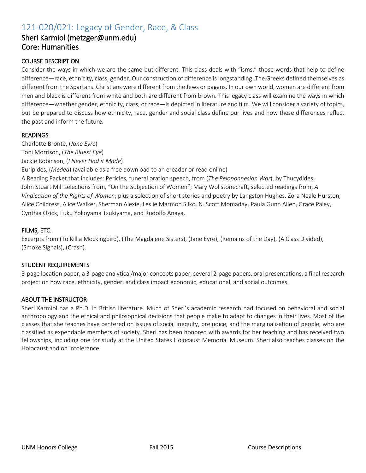# 121-020/021: Legacy of Gender, Race, & Class

### Sheri Karmiol (metzger@unm.edu) Core: Humanities

#### COURSE DESCRIPTION

Consider the ways in which we are the same but different. This class deals with "isms," those words that help to define difference—race, ethnicity, class, gender. Our construction of difference is longstanding. The Greeks defined themselves as different from the Spartans. Christians were different from the Jews or pagans. In our own world, women are different from men and black is different from white and both are different from brown. This legacy class will examine the ways in which difference—whether gender, ethnicity, class, or race—is depicted in literature and film. We will consider a variety of topics, but be prepared to discuss how ethnicity, race, gender and social class define our lives and how these differences reflect the past and inform the future.

#### READINGS

Charlotte Brontë, (*Jane Eyre*) Toni Morrison, (*The Bluest Eye*) Jackie Robinson, (*I Never Had it Made*)

Euripides, (*Medea*) (available as a free download to an ereader or read online)

A Reading Packet that includes: Pericles, funeral oration speech, from (*The Peloponnesian War*), by Thucydides; John Stuart Mill selections from, "On the Subjection of Women"; Mary Wollstonecraft, selected readings from, *A Vindication of the Rights of Women*; plus a selection of short stories and poetry by Langston Hughes, Zora Neale Hurston, Alice Childress, Alice Walker, Sherman Alexie, Leslie Marmon Silko, N. Scott Momaday, Paula Gunn Allen, Grace Paley, Cynthia Ozick, Fuku Yokoyama Tsukiyama, and Rudolfo Anaya.

#### FILMS, ETC.

Excerpts from (To Kill a Mockingbird), (The Magdalene Sisters), (Jane Eyre), (Remains of the Day), (A Class Divided), (Smoke Signals), (Crash).

#### STUDENT REQUIREMENTS

3-page location paper, a 3-page analytical/major concepts paper, several 2-page papers, oral presentations, a final research project on how race, ethnicity, gender, and class impact economic, educational, and social outcomes.

#### ABOUT THE INSTRUCTOR

Sheri Karmiol has a Ph.D. in British literature. Much of Sheri's academic research had focused on behavioral and social anthropology and the ethical and philosophical decisions that people make to adapt to changes in their lives. Most of the classes that she teaches have centered on issues of social inequity, prejudice, and the marginalization of people, who are classified as expendable members of society. Sheri has been honored with awards for her teaching and has received two fellowships, including one for study at the United States Holocaust Memorial Museum. Sheri also teaches classes on the Holocaust and on intolerance.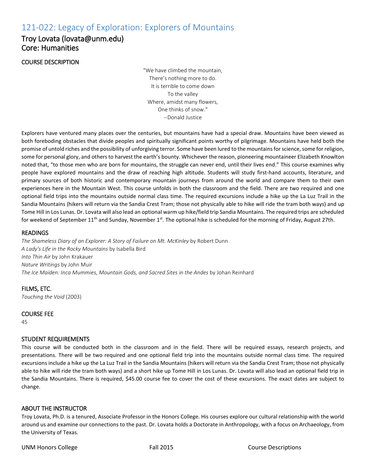# 121-022: Legacy of Exploration: Explorers of Mountains

### Troy Lovata (lovata@unm.edu) Core: Humanities

#### COURSE DESCRIPTION

"We have climbed the mountain, There's nothing more to do. It is terrible to come down To the valley Where, amidst many flowers, One thinks of snow." --Donald Justice

Explorers have ventured many places over the centuries, but mountains have had a special draw. Mountains have been viewed as both foreboding obstacles that divide peoples and spiritually significant points worthy of pilgrimage. Mountains have held both the promise of untold riches and the possibility of unforgiving terror. Some have been lured to the mountains for science, some for religion, some for personal glory, and others to harvest the earth's bounty. Whichever the reason, pioneering mountaineer Elizabeth Knowlton noted that, "to those men who are born for mountains, the struggle can never end, until their lives end." This course examines why people have explored mountains and the draw of reaching high altitude. Students will study first-hand accounts, literature, and primary sources of both historic and contemporary mountain journeys from around the world and compare them to their own experiences here in the Mountain West. This course unfolds in both the classroom and the field. There are two required and one optional field trips into the mountains outside normal class time. The required excursions include a hike up the La Luz Trail in the Sandia Mountains (hikers will return via the Sandia Crest Tram; those not physically able to hike will ride the tram both ways) and up Tome Hill in Los Lunas. Dr. Lovata will also lead an optional warm up hike/field trip Sandia Mountains. The required trips are scheduled for weekend of September 11<sup>th</sup> and Sunday, November 1<sup>st</sup>. The optional hike is scheduled for the morning of Friday, August 27th.

#### READINGS

*The Shameless Diary of an Explorer: A Story of Failure on Mt. McKinley* by Robert Dunn *A Lady's Life in the Rocky Mountains* by Isabella Bird *Into Thin Air* by John Krakauer *Nature Writings* by John Muir *The Ice Maiden: Inca Mummies, Mountain Gods, and Sacred Sites in the Andes* by Johan Reinhard

FILMS, ETC. *Touching the Void* (2003)

COURSE FEE

45

#### STUDENT REQUIREMENTS

This course will be conducted both in the classroom and in the field. There will be required essays, research projects, and presentations. There will be two required and one optional field trip into the mountains outside normal class time. The required excursions include a hike up the La Luz Trail in the Sandia Mountains (hikers will return via the Sandia Crest Tram; those not physically able to hike will ride the tram both ways) and a short hike up Tome Hill in Los Lunas. Dr. Lovata will also lead an optional field trip in the Sandia Mountains. There is required, \$45.00 course fee to cover the cost of these excursions. The exact dates are subject to change.

#### ABOUT THE INSTRUCTOR

Troy Lovata, Ph.D. is a tenured, Associate Professor in the Honors College. His courses explore our cultural relationship with the world around us and examine our connections to the past. Dr. Lovata holds a Doctorate in Anthropology, with a focus on Archaeology, from the University of Texas.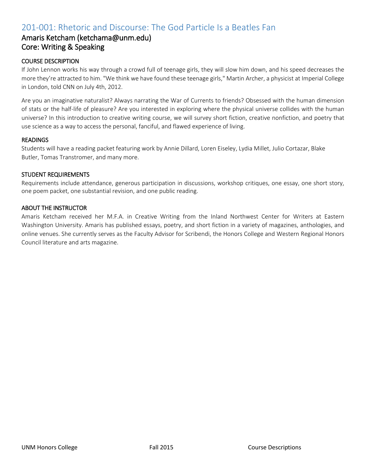# 201-001: Rhetoric and Discourse: The God Particle Is a Beatles Fan

### Amaris Ketcham (ketchama@unm.edu) Core: Writing & Speaking

#### COURSE DESCRIPTION

If John Lennon works his way through a crowd full of teenage girls, they will slow him down, and his speed decreases the more they're attracted to him. "We think we have found these teenage girls," Martin Archer, a physicist at Imperial College in London, told CNN on July 4th, 2012.

Are you an imaginative naturalist? Always narrating the War of Currents to friends? Obsessed with the human dimension of stats or the half-life of pleasure? Are you interested in exploring where the physical universe collides with the human universe? In this introduction to creative writing course, we will survey short fiction, creative nonfiction, and poetry that use science as a way to access the personal, fanciful, and flawed experience of living.

#### READINGS

Students will have a reading packet featuring work by Annie Dillard, Loren Eiseley, Lydia Millet, Julio Cortazar, Blake Butler, Tomas Transtromer, and many more.

#### STUDENT REQUIREMENTS

Requirements include attendance, generous participation in discussions, workshop critiques, one essay, one short story, one poem packet, one substantial revision, and one public reading.

#### ABOUT THE INSTRUCTOR

Amaris Ketcham received her M.F.A. in Creative Writing from the Inland Northwest Center for Writers at Eastern Washington University. Amaris has published essays, poetry, and short fiction in a variety of magazines, anthologies, and online venues. She currently serves as the Faculty Advisor for Scribendi, the Honors College and Western Regional Honors Council literature and arts magazine.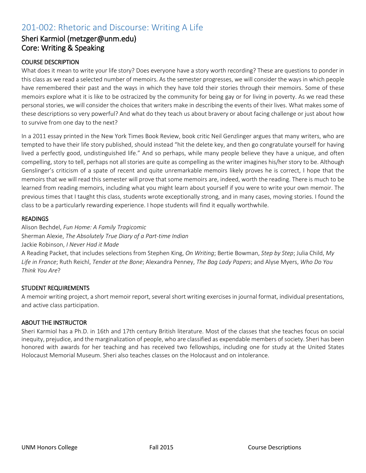# 201-002: Rhetoric and Discourse: Writing A Life

### Sheri Karmiol (metzger@unm.edu) Core: Writing & Speaking

#### COURSE DESCRIPTION

What does it mean to write your life story? Does everyone have a story worth recording? These are questions to ponder in this class as we read a selected number of memoirs. As the semester progresses, we will consider the ways in which people have remembered their past and the ways in which they have told their stories through their memoirs. Some of these memoirs explore what it is like to be ostracized by the community for being gay or for living in poverty. As we read these personal stories, we will consider the choices that writers make in describing the events of their lives. What makes some of these descriptions so very powerful? And what do they teach us about bravery or about facing challenge or just about how to survive from one day to the next?

In a 2011 essay printed in the New York Times Book Review, book critic Neil Genzlinger argues that many writers, who are tempted to have their life story published, should instead "hit the delete key, and then go congratulate yourself for having lived a perfectly good, undistinguished life." And so perhaps, while many people believe they have a unique, and often compelling, story to tell, perhaps not all stories are quite as compelling as the writer imagines his/her story to be. Although Genslinger's criticism of a spate of recent and quite unremarkable memoirs likely proves he is correct, I hope that the memoirs that we will read this semester will prove that some memoirs are, indeed, worth the reading. There is much to be learned from reading memoirs, including what you might learn about yourself if you were to write your own memoir. The previous times that I taught this class, students wrote exceptionally strong, and in many cases, moving stories. I found the class to be a particularly rewarding experience. I hope students will find it equally worthwhile.

#### READINGS

Alison Bechdel, *Fun Home: A Family Tragicomic* Sherman Alexie, *The Absolutely True Diary of a Part-time Indian* Jackie Robinson, *I Never Had it Made*

A Reading Packet, that includes selections from Stephen King, *On Writing*; Bertie Bowman, *Step by Step*; Julia Child, *My Life in France*; Ruth Reichl, *Tender at the Bone*; Alexandra Penney, *The Bag Lady Papers*; and Alyse Myers, *Who Do You Think You Are*?

#### STUDENT REQUIREMENTS

A memoir writing project, a short memoir report, several short writing exercises in journal format, individual presentations, and active class participation.

#### ABOUT THE INSTRUCTOR

Sheri Karmiol has a Ph.D. in 16th and 17th century British literature. Most of the classes that she teaches focus on social inequity, prejudice, and the marginalization of people, who are classified as expendable members of society. Sheri has been honored with awards for her teaching and has received two fellowships, including one for study at the United States Holocaust Memorial Museum. Sheri also teaches classes on the Holocaust and on intolerance.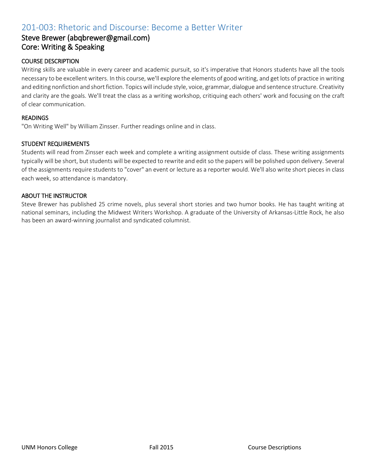# 201-003: Rhetoric and Discourse: Become a Better Writer

### Steve Brewer (abqbrewer@gmail.com) Core: Writing & Speaking

#### COURSE DESCRIPTION

Writing skills are valuable in every career and academic pursuit, so it's imperative that Honors students have all the tools necessary to be excellent writers. In this course, we'll explore the elements of good writing, and get lots of practice in writing and editing nonfiction and short fiction. Topics will include style, voice, grammar, dialogue and sentence structure. Creativity and clarity are the goals. We'll treat the class as a writing workshop, critiquing each others' work and focusing on the craft of clear communication.

#### READINGS

"On Writing Well" by William Zinsser. Further readings online and in class.

#### STUDENT REQUIREMENTS

Students will read from Zinsser each week and complete a writing assignment outside of class. These writing assignments typically will be short, but students will be expected to rewrite and edit so the papers will be polished upon delivery. Several of the assignments require students to "cover" an event or lecture as a reporter would. We'll also write short pieces in class each week, so attendance is mandatory.

#### ABOUT THE INSTRUCTOR

Steve Brewer has published 25 crime novels, plus several short stories and two humor books. He has taught writing at national seminars, including the Midwest Writers Workshop. A graduate of the University of Arkansas-Little Rock, he also has been an award-winning journalist and syndicated columnist.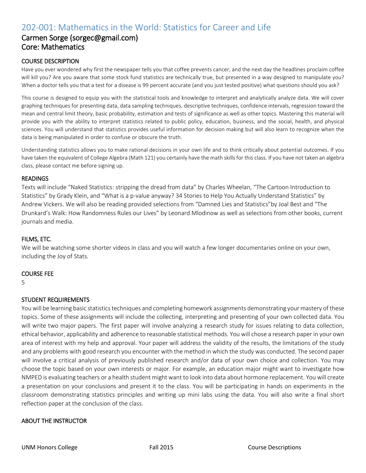# 202-001: Mathematics in the World: Statistics for Career and Life

# Carmen Sorge (sorgec@gmail.com) Core: Mathematics

#### COURSE DESCRIPTION

Have you ever wondered why first the newspaper tells you that coffee prevents cancer, and the next day the headlines proclaim coffee will kill you? Are you aware that some stock fund statistics are technically true, but presented in a way designed to manipulate you? When a doctor tells you that a test for a disease is 99 percent accurate (and you just tested positive) what questions should you ask?

This course is designed to equip you with the statistical tools and knowledge to interpret and analytically analyze data. We will cover graphing techniques for presenting data, data sampling techniques, descriptive techniques, confidence intervals, regression toward the mean and central limit theory, basic probability, estimation and tests of significance as well as other topics. Mastering this material will provide you with the ability to interpret statistics related to public policy, education, business, and the social, health, and physical sciences. You will understand that statistics provides useful information for decision making but will also learn to recognize when the data is being manipulated in order to confuse or obscure the truth.

Understanding statistics allows you to make rational decisions in your own life and to think critically about potential outcomes. If you have taken the equivalent of College Algebra (Math 121) you certainly have the math skills for this class. If you have not taken an algebra class, please contact me before signing up.

#### READINGS

Texts will include "Naked Statistics: stripping the dread from data" by Charles Wheelan, "The Cartoon Introduction to Statistics" by Grady Klein, and "What is a p-value anyway? 34 Stories to Help You Actually Understand Statistics" by Andrew Vickers. We will also be reading provided selections from "Damned Lies and Statistics"by Joal Best and "The Drunkard's Walk: How Randomness Rules our Lives" by Leonard Mlodinow as well as selections from other books, current journals and media.

#### FILMS, ETC.

We will be watching some shorter videos in class and you will watch a few longer documentaries online on your own, including the Joy of Stats.

#### COURSE FEE

5

#### STUDENT REQUIREMENTS

You will be learning basic statistics techniques and completing homework assignments demonstrating your mastery of these topics. Some of these assignments will include the collecting, interpreting and presenting of your own collected data. You will write two major papers. The first paper will involve analyzing a research study for issues relating to data collection, ethical behavior, applicability and adherence to reasonable statistical methods. You will chose a research paper in your own area of interest with my help and approval. Your paper will address the validity of the results, the limitations of the study and any problems with good research you encounter with the method in which the study was conducted. The second paper will involve a critical analysis of previously published research and/or data of your own choice and collection. You may choose the topic based on your own interests or major. For example, an education major might want to investigate how NMPED is evaluating teachers or a health student might want to look into data about hormone replacement. You will create a presentation on your conclusions and present it to the class. You will be participating in hands on experiments in the classroom demonstrating statistics principles and writing up mini labs using the data. You will also write a final short reflection paper at the conclusion of the class.

#### ABOUT THE INSTRUCTOR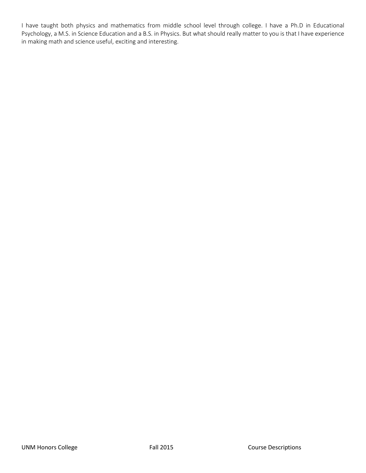I have taught both physics and mathematics from middle school level through college. I have a Ph.D in Educational Psychology, a M.S. in Science Education and a B.S. in Physics. But what should really matter to you is that I have experience in making math and science useful, exciting and interesting.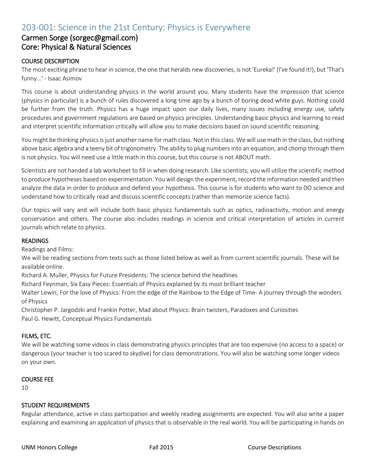# 203-001: Science in the 21st Century: Physics is Everywhere

### Carmen Sorge (sorgec@gmail.com) Core: Physical & Natural Sciences

#### COURSE DESCRIPTION

The most exciting phrase to hear in science, the one that heralds new discoveries, is not 'Eureka!' (I've found it!), but 'That's funny...' - Isaac Asimov

This course is about understanding physics in the world around you. Many students have the impression that science (physics in particular) is a bunch of rules discovered a long time ago by a bunch of boring dead white guys. Nothing could be further from the truth. Physics has a huge impact upon our daily lives, many issues including energy use, safety procedures and government regulations are based on physics principles. Understanding basic physics and learning to read and interpret scientific information critically will allow you to make decisions based on sound scientific reasoning.

You might be thinking physics is just another name for math class. Not in this class. We will use math in the class, but nothing above basic algebra and a teeny bit of trigonometry. The ability to plug numbers into an equation, and chomp through them is not physics. You will need use a little math in this course, but this course is not ABOUT math.

Scientists are not handed a lab worksheet to fill in when doing research. Like scientists, you will utilize the scientific method to produce hypotheses based on experimentation. You will design the experiment, record the information needed and then analyze the data in order to produce and defend your hypothesis. This course is for students who want to DO science and understand how to critically read and discuss scientific concepts (rather than memorize science facts).

Our topics will vary and will include both basic physics fundamentals such as optics, radioactivity, motion and energy conservation and others. The course also includes readings in science and critical interpretation of articles in current journals which relate to physics.

#### **READINGS**

Readings and Films:

We will be reading sections from texts such as those listed below as well as from current scientific journals. These will be available online.

Richard A. Muller, Physics for Future Presidents: The science behind the headlines

Richard Feynman, Six Easy Pieces: Essentials of Physics explained by its most brilliant teacher

Walter Lewin, For the love of Physics: From the edge of the Rainbow to the Edge of Time- A journey through the wonders of Physics

Christopher P. Jargodzki and Frankin Potter, Mad about Physics: Brain twisters, Paradoxes and Curiosities Paul G. Hewitt, Conceptual Physics Fundamentals

#### FILMS, ETC.

We will be watching some videos in class demonstrating physics principles that are too expensive (no access to a space) or dangerous (your teacher is too scared to skydive) for class demonstrations. You will also be watching some longer videos on your own.

#### COURSE FEE

10

#### STUDENT REQUIREMENTS

Regular attendance, active in class participation and weekly reading assignments are expected. You will also write a paper explaining and examining an application of physics that is observable in the real world. You will be participating in hands on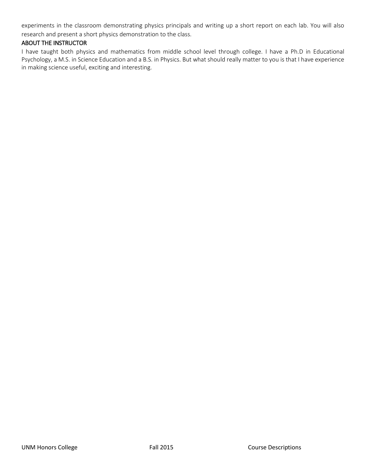experiments in the classroom demonstrating physics principals and writing up a short report on each lab. You will also research and present a short physics demonstration to the class.

#### ABOUT THE INSTRUCTOR

I have taught both physics and mathematics from middle school level through college. I have a Ph.D in Educational Psychology, a M.S. in Science Education and a B.S. in Physics. But what should really matter to you is that I have experience in making science useful, exciting and interesting.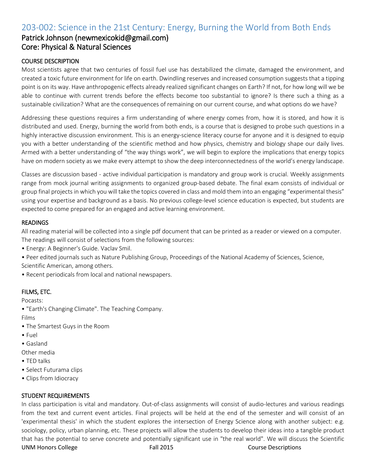# 203-002: Science in the 21st Century: Energy, Burning the World from Both Ends

### Patrick Johnson (newmexicokid@gmail.com) Core: Physical & Natural Sciences

#### COURSE DESCRIPTION

Most scientists agree that two centuries of fossil fuel use has destabilized the climate, damaged the environment, and created a toxic future environment for life on earth. Dwindling reserves and increased consumption suggests that a tipping point is on its way. Have anthropogenic effects already realized significant changes on Earth? If not, for how long will we be able to continue with current trends before the effects become too substantial to ignore? Is there such a thing as a sustainable civilization? What are the consequences of remaining on our current course, and what options do we have?

Addressing these questions requires a firm understanding of where energy comes from, how it is stored, and how it is distributed and used. Energy, burning the world from both ends, is a course that is designed to probe such questions in a highly interactive discussion environment. This is an energy-science literacy course for anyone and it is designed to equip you with a better understanding of the scientific method and how physics, chemistry and biology shape our daily lives. Armed with a better understanding of "the way things work", we will begin to explore the implications that energy topics have on modern society as we make every attempt to show the deep interconnectedness of the world's energy landscape.

Classes are discussion based - active individual participation is mandatory and group work is crucial. Weekly assignments range from mock journal writing assignments to organized group-based debate. The final exam consists of individual or group final projects in which you will take the topics covered in class and mold them into an engaging "experimental thesis" using your expertise and background as a basis. No previous college-level science education is expected, but students are expected to come prepared for an engaged and active learning environment.

#### READINGS

All reading material will be collected into a single pdf document that can be printed as a reader or viewed on a computer. The readings will consist of selections from the following sources:

- Energy: A Beginner's Guide. Vaclav Smil.
- Peer edited journals such as Nature Publishing Group, Proceedings of the National Academy of Sciences, Science, Scientific American, among others.
- Recent periodicals from local and national newspapers.

#### FILMS, ETC.

Pocasts:

• "Earth's Changing Climate". The Teaching Company.

Films

- The Smartest Guys in the Room
- Fuel
- Gasland
- Other media
- TED talks
- Select Futurama clips
- Clips from Idiocracy

#### STUDENT REQUIREMENTS

UNM Honors College Fall 2015 Course Descriptions In class participation is vital and mandatory. Out-of-class assignments will consist of audio-lectures and various readings from the text and current event articles. Final projects will be held at the end of the semester and will consist of an 'experimental thesis' in which the student explores the intersection of Energy Science along with another subject: e.g. sociology, policy, urban planning, etc. These projects will allow the students to develop their ideas into a tangible product that has the potential to serve concrete and potentially significant use in "the real world". We will discuss the Scientific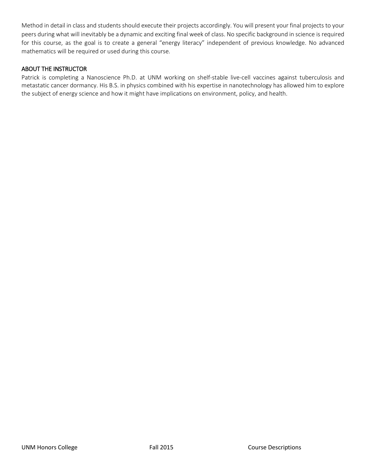Method in detail in class and students should execute their projects accordingly. You will present your final projects to your peers during what will inevitably be a dynamic and exciting final week of class. No specific background in science is required for this course, as the goal is to create a general "energy literacy" independent of previous knowledge. No advanced mathematics will be required or used during this course.

#### ABOUT THE INSTRUCTOR

Patrick is completing a Nanoscience Ph.D. at UNM working on shelf-stable live-cell vaccines against tuberculosis and metastatic cancer dormancy. His B.S. in physics combined with his expertise in nanotechnology has allowed him to explore the subject of energy science and how it might have implications on environment, policy, and health.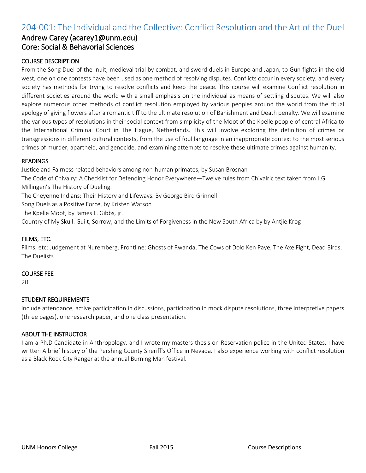# 204-001: The Individual and the Collective: Conflict Resolution and the Art of the Duel

### Andrew Carey (acarey1@unm.edu) Core: Social & Behavorial Sciences

#### COURSE DESCRIPTION

From the Song Duel of the Inuit, medieval trial by combat, and sword duels in Europe and Japan, to Gun fights in the old west, one on one contests have been used as one method of resolving disputes. Conflicts occur in every society, and every society has methods for trying to resolve conflicts and keep the peace. This course will examine Conflict resolution in different societies around the world with a small emphasis on the individual as means of settling disputes. We will also explore numerous other methods of conflict resolution employed by various peoples around the world from the ritual apology of giving flowers after a romantic tiff to the ultimate resolution of Banishment and Death penalty. We will examine the various types of resolutions in their social context from simplicity of the Moot of the Kpelle people of central Africa to the International Criminal Court in The Hague, Netherlands. This will involve exploring the definition of crimes or transgressions in different cultural contexts, from the use of foul language in an inappropriate context to the most serious crimes of murder, apartheid, and genocide, and examining attempts to resolve these ultimate crimes against humanity.

#### READINGS

Justice and Fairness related behaviors among non-human primates, by Susan Brosnan The Code of Chivalry: A Checklist for Defending Honor Everywhere—Twelve rules from Chivalric text taken from J.G. Millingen's The History of Dueling. The Cheyenne Indians: Their History and Lifeways. By George Bird Grinnell Song Duels as a Positive Force, by Kristen Watson The Kpelle Moot, by James L. Gibbs, jr.

Country of My Skull: Guilt, Sorrow, and the Limits of Forgiveness in the New South Africa by by Antjie Krog

#### FILMS, ETC.

Films, etc: Judgement at Nuremberg, Frontline: Ghosts of Rwanda, The Cows of Dolo Ken Paye, The Axe Fight, Dead Birds, The Duelists

#### COURSE FEE

20

#### STUDENT REQUIREMENTS

include attendance, active participation in discussions, participation in mock dispute resolutions, three interpretive papers (three pages), one research paper, and one class presentation.

#### ABOUT THE INSTRUCTOR

I am a Ph.D Candidate in Anthropology, and I wrote my masters thesis on Reservation police in the United States. I have written A brief history of the Pershing County Sheriff's Office in Nevada. I also experience working with conflict resolution as a Black Rock City Ranger at the annual Burning Man festival.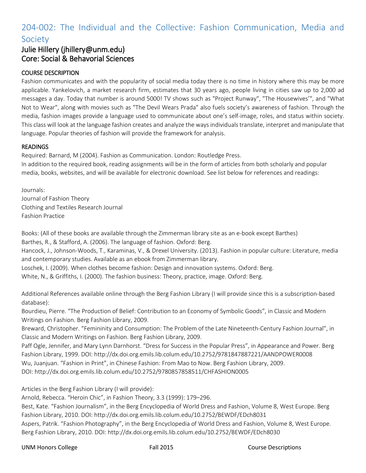# 204-002: The Individual and the Collective: Fashion Communication, Media and Society

# Julie Hillery (jhillery@unm.edu) Core: Social & Behavorial Sciences

#### COURSE DESCRIPTION

Fashion communicates and with the popularity of social media today there is no time in history where this may be more applicable. Yankelovich, a market research firm, estimates that 30 years ago, people living in cities saw up to 2,000 ad messages a day. Today that number is around 5000! TV shows such as "Project Runway", "The Housewives'", and "What Not to Wear", along with movies such as "The Devil Wears Prada" also fuels society's awareness of fashion. Through the media, fashion images provide a language used to communicate about one's self-image, roles, and status within society. This class will look at the language fashion creates and analyze the ways individuals translate, interpret and manipulate that language. Popular theories of fashion will provide the framework for analysis.

#### READINGS

Required: Barnard, M (2004). Fashion as Communication. London: Routledge Press. In addition to the required book, reading assignments will be in the form of articles from both scholarly and popular media, books, websites, and will be available for electronic download. See list below for references and readings:

Journals: Journal of Fashion Theory Clothing and Textiles Research Journal Fashion Practice

Books: (All of these books are available through the Zimmerman library site as an e-book except Barthes) Barthes, R., & Stafford, A. (2006). The language of fashion. Oxford: Berg. Hancock, J., Johnson-Woods, T., Karaminas, V., & Drexel University. (2013). Fashion in popular culture: Literature, media and contemporary studies. Available as an ebook from Zimmerman library. Loschek, I. (2009). When clothes become fashion: Design and innovation systems. Oxford: Berg. White, N., & Griffiths, I. (2000). The fashion business: Theory, practice, image. Oxford: Berg.

Additional References available online through the Berg Fashion Library (I will provide since this is a subscription-based database):

Bourdieu, Pierre. "The Production of Belief: Contribution to an Economy of Symbolic Goods", in Classic and Modern Writings on Fashion. Berg Fashion Library, 2009.

Breward, Christopher. "Femininity and Consumption: The Problem of the Late Nineteenth-Century Fashion Journal", in Classic and Modern Writings on Fashion. Berg Fashion Library, 2009.

Paff Ogle, Jennifer, and Mary Lynn Darnhorst. "Dress for Success in the Popular Press", in Appearance and Power. Berg Fashion Library, 1999. DOI: http://dx.doi.org.emils.lib.colum.edu/10.2752/9781847887221/AANDPOWER0008 Wu, Juanjuan. "Fashion in Print", in Chinese Fashion: From Mao to Now. Berg Fashion Library, 2009. DOI: http://dx.doi.org.emils.lib.colum.edu/10.2752/9780857858511/CHFASHION0005

Articles in the Berg Fashion Library (I will provide):

Arnold, Rebecca. "Heroin Chic", in Fashion Theory, 3.3 (1999): 179–296.

Best, Kate. "Fashion Journalism", in the Berg Encyclopedia of World Dress and Fashion, Volume 8, West Europe. Berg Fashion Library, 2010. DOI: http://dx.doi.org.emils.lib.colum.edu/10.2752/BEWDF/EDch8031

Aspers, Patrik. "Fashion Photography", in the Berg Encyclopedia of World Dress and Fashion, Volume 8, West Europe. Berg Fashion Library, 2010. DOI: http://dx.doi.org.emils.lib.colum.edu/10.2752/BEWDF/EDch8030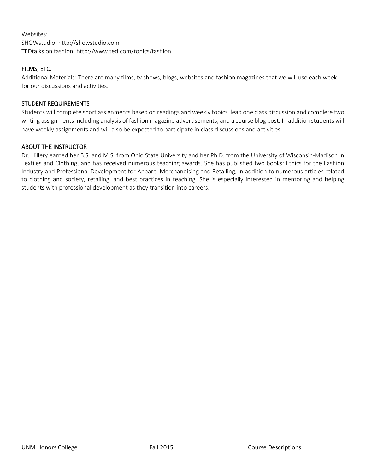Websites: SHOWstudio: http://showstudio.com TEDtalks on fashion: http://www.ted.com/topics/fashion

#### FILMS, ETC.

Additional Materials: There are many films, tv shows, blogs, websites and fashion magazines that we will use each week for our discussions and activities.

#### STUDENT REQUIREMENTS

Students will complete short assignments based on readings and weekly topics, lead one class discussion and complete two writing assignments including analysis of fashion magazine advertisements, and a course blog post. In addition students will have weekly assignments and will also be expected to participate in class discussions and activities.

#### ABOUT THE INSTRUCTOR

Dr. Hillery earned her B.S. and M.S. from Ohio State University and her Ph.D. from the University of Wisconsin-Madison in Textiles and Clothing, and has received numerous teaching awards. She has published two books: Ethics for the Fashion Industry and Professional Development for Apparel Merchandising and Retailing, in addition to numerous articles related to clothing and society, retailing, and best practices in teaching. She is especially interested in mentoring and helping students with professional development as they transition into careers.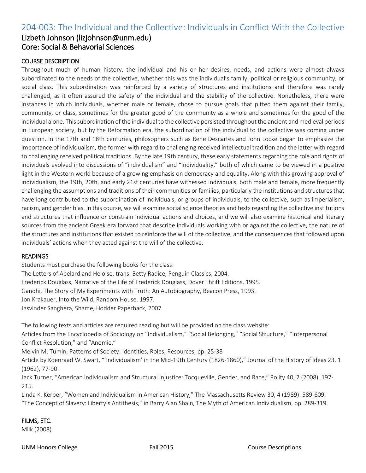# 204-003: The Individual and the Collective: Individuals in Conflict With the Collective

### Lizbeth Johnson (lizjohnson@unm.edu) Core: Social & Behavorial Sciences

#### COURSE DESCRIPTION

Throughout much of human history, the individual and his or her desires, needs, and actions were almost always subordinated to the needs of the collective, whether this was the individual's family, political or religious community, or social class. This subordination was reinforced by a variety of structures and institutions and therefore was rarely challenged, as it often assured the safety of the individual and the stability of the collective. Nonetheless, there were instances in which individuals, whether male or female, chose to pursue goals that pitted them against their family, community, or class, sometimes for the greater good of the community as a whole and sometimes for the good of the individual alone. This subordination of the individual to the collective persisted throughout the ancient and medieval periods in European society, but by the Reformation era, the subordination of the individual to the collective was coming under question. In the 17th and 18th centuries, philosophers such as Rene Descartes and John Locke began to emphasize the importance of individualism, the former with regard to challenging received intellectual tradition and the latter with regard to challenging received political traditions. By the late 19th century, these early statements regarding the role and rights of individuals evolved into discussions of "individualism" and "individuality," both of which came to be viewed in a positive light in the Western world because of a growing emphasis on democracy and equality. Along with this growing approval of individualism, the 19th, 20th, and early 21st centuries have witnessed individuals, both male and female, more frequently challenging the assumptions and traditions of their communities or families, particularly the institutions and structures that have long contributed to the subordination of individuals, or groups of individuals, to the collective, such as imperialism, racism, and gender bias. In this course, we will examine social science theories and texts regarding the collective institutions and structures that influence or constrain individual actions and choices, and we will also examine historical and literary sources from the ancient Greek era forward that describe individuals working with or against the collective, the nature of the structures and institutions that existed to reinforce the will of the collective, and the consequences that followed upon individuals' actions when they acted against the will of the collective.

#### READINGS

Students must purchase the following books for the class:

The Letters of Abelard and Heloise, trans. Betty Radice, Penguin Classics, 2004.

Frederick Douglass, Narrative of the Life of Frederick Douglass, Dover Thrift Editions, 1995.

Gandhi, The Story of My Experiments with Truth: An Autobiography, Beacon Press, 1993.

Jon Krakauer, Into the Wild, Random House, 1997.

Jasvinder Sanghera, Shame, Hodder Paperback, 2007.

The following texts and articles are required reading but will be provided on the class website:

Articles from the Encyclopedia of Sociology on "Individualism," "Social Belonging," "Social Structure," "Interpersonal Conflict Resolution," and "Anomie."

Melvin M. Tumin, Patterns of Society: Identities, Roles, Resources, pp. 25-38

Article by Koenraad W. Swart, "'Individualism' in the Mid-19th Century (1826-1860)," Journal of the History of Ideas 23, 1 (1962), 77-90.

Jack Turner, "American Individualism and Structural Injustice: Tocqueville, Gender, and Race," Polity 40, 2 (2008), 197- 215.

Linda K. Kerber, "Women and Individualism in American History," The Massachusetts Review 30, 4 (1989): 589-609. "The Concept of Slavery: Liberty's Antithesis," in Barry Alan Shain, The Myth of American Individualism, pp. 289-319.

#### FILMS, ETC.

Milk (2008)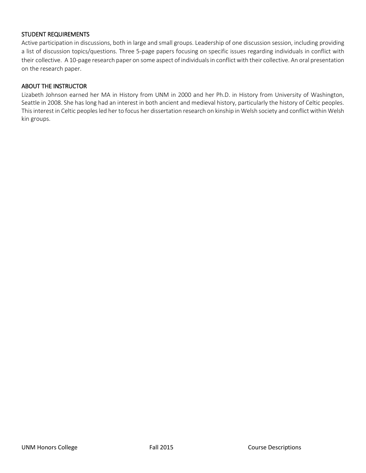#### STUDENT REQUIREMENTS

Active participation in discussions, both in large and small groups. Leadership of one discussion session, including providing a list of discussion topics/questions. Three 5-page papers focusing on specific issues regarding individuals in conflict with their collective. A 10-page research paper on some aspect of individuals in conflict with their collective. An oral presentation on the research paper.

#### ABOUT THE INSTRUCTOR

Lizabeth Johnson earned her MA in History from UNM in 2000 and her Ph.D. in History from University of Washington, Seattle in 2008. She has long had an interest in both ancient and medieval history, particularly the history of Celtic peoples. This interest in Celtic peoples led her to focus her dissertation research on kinship in Welsh society and conflict within Welsh kin groups.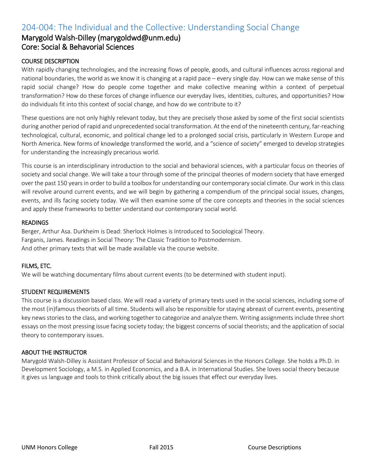# 204-004: The Individual and the Collective: Understanding Social Change

### Marygold Walsh-Dilley (marygoldwd@unm.edu) Core: Social & Behavorial Sciences

#### COURSE DESCRIPTION

With rapidly changing technologies, and the increasing flows of people, goods, and cultural influences across regional and national boundaries, the world as we know it is changing at a rapid pace – every single day. How can we make sense of this rapid social change? How do people come together and make collective meaning within a context of perpetual transformation? How do these forces of change influence our everyday lives, identities, cultures, and opportunities? How do individuals fit into this context of social change, and how do we contribute to it?

These questions are not only highly relevant today, but they are precisely those asked by some of the first social scientists during another period of rapid and unprecedented social transformation. At the end of the nineteenth century, far-reaching technological, cultural, economic, and political change led to a prolonged social crisis, particularly in Western Europe and North America. New forms of knowledge transformed the world, and a "science of society" emerged to develop strategies for understanding the increasingly precarious world.

This course is an interdisciplinary introduction to the social and behavioral sciences, with a particular focus on theories of society and social change. We will take a tour through some of the principal theories of modern society that have emerged over the past 150 years in order to build a toolbox for understanding our contemporary social climate. Our work in this class will revolve around current events, and we will begin by gathering a compendium of the principal social issues, changes, events, and ills facing society today. We will then examine some of the core concepts and theories in the social sciences and apply these frameworks to better understand our contemporary social world.

#### READINGS

Berger, Arthur Asa. Durkheim is Dead: Sherlock Holmes is Introduced to Sociological Theory. Farganis, James. Readings in Social Theory: The Classic Tradition to Postmodernism. And other primary texts that will be made available via the course website.

#### FILMS, ETC.

We will be watching documentary films about current events (to be determined with student input).

#### STUDENT REQUIREMENTS

This course is a discussion based class. We will read a variety of primary texts used in the social sciences, including some of the most (in)famous theorists of all time. Students will also be responsible for staying abreast of current events, presenting key news stories to the class, and working together to categorize and analyze them. Writing assignments include three short essays on the most pressing issue facing society today; the biggest concerns of social theorists; and the application of social theory to contemporary issues.

#### ABOUT THE INSTRUCTOR

Marygold Walsh-Dilley is Assistant Professor of Social and Behavioral Sciences in the Honors College. She holds a Ph.D. in Development Sociology, a M.S. in Applied Economics, and a B.A. in International Studies. She loves social theory because it gives us language and tools to think critically about the big issues that effect our everyday lives.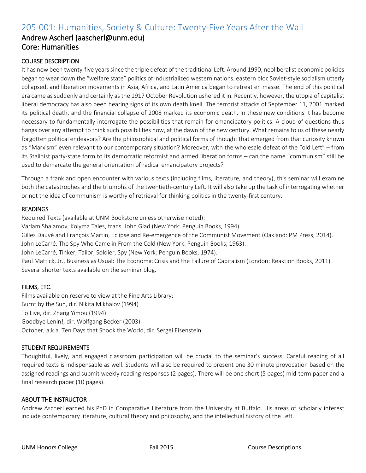# 205-001: Humanities, Society & Culture: Twenty-Five Years After the Wall

### Andrew Ascherl (aascherl@unm.edu) Core: Humanities

#### COURSE DESCRIPTION

It has now been twenty-five years since the triple defeat of the traditional Left. Around 1990, neoliberalist economic policies began to wear down the "welfare state" politics of industrialized western nations, eastern bloc Soviet-style socialism utterly collapsed, and liberation movements in Asia, Africa, and Latin America began to retreat en masse. The end of this political era came as suddenly and certainly as the 1917 October Revolution ushered it in. Recently, however, the utopia of capitalist liberal democracy has also been hearing signs of its own death knell. The terrorist attacks of September 11, 2001 marked its political death, and the financial collapse of 2008 marked its economic death. In these new conditions it has become necessary to fundamentally interrogate the possibilities that remain for emancipatory politics. A cloud of questions thus hangs over any attempt to think such possibilities now, at the dawn of the new century. What remains to us of these nearly forgotten political endeavors? Are the philosophical and political forms of thought that emerged from that curiosity known as "Marxism" even relevant to our contemporary situation? Moreover, with the wholesale defeat of the "old Left" – from its Stalinist party-state form to its democratic reformist and armed liberation forms – can the name "communism" still be used to demarcate the general orientation of radical emancipatory projects?

Through a frank and open encounter with various texts (including films, literature, and theory), this seminar will examine both the catastrophes and the triumphs of the twentieth-century Left. It will also take up the task of interrogating whether or not the idea of communism is worthy of retrieval for thinking politics in the twenty-first century.

#### **READINGS**

Required Texts (available at UNM Bookstore unless otherwise noted):

Varlam Shalamov, Kolyma Tales, trans. John Glad (New York: Penguin Books, 1994).

Gilles Dauvé and François Martin, Eclipse and Re-emergence of the Communist Movement (Oakland: PM Press, 2014). John LeCarré, The Spy Who Came in From the Cold (New York: Penguin Books, 1963).

John LeCarré, Tinker, Tailor, Soldier, Spy (New York: Penguin Books, 1974).

Paul Mattick, Jr., Business as Usual: The Economic Crisis and the Failure of Capitalism (London: Reaktion Books, 2011). Several shorter texts available on the seminar blog.

#### FILMS, ETC.

Films available on reserve to view at the Fine Arts Library: Burnt by the Sun, dir. Nikita Mikhalov (1994) To Live, dir. Zhang Yimou (1994) Goodbye Lenin!, dir. Wolfgang Becker (2003) October, a,k.a. Ten Days that Shook the World, dir. Sergei Eisenstein

#### STUDENT REQUIREMENTS

Thoughtful, lively, and engaged classroom participation will be crucial to the seminar's success. Careful reading of all required texts is indispensable as well. Students will also be required to present one 30 minute provocation based on the assigned readings and submit weekly reading responses (2 pages). There will be one short (5 pages) mid-term paper and a final research paper (10 pages).

#### ABOUT THE INSTRUCTOR

Andrew Ascherl earned his PhD in Comparative Literature from the University at Buffalo. His areas of scholarly interest include contemporary literature, cultural theory and philosophy, and the intellectual history of the Left.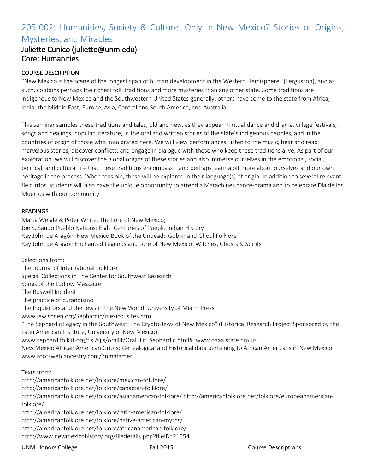# 205-002: Humanities, Society & Culture: Only in New Mexico? Stories of Origins, Mysteries, and Miracles

# Juliette Cunico (juliette@unm.edu) Core: Humanities

#### COURSE DESCRIPTION

"New Mexico is the scene of the longest span of human development in the Western Hemisphere" (Fergusson), and as such, contains perhaps the richest folk traditions and more mysteries than any other state. Some traditions are indigenous to New Mexico and the Southwestern United States generally; others have come to the state from Africa, India, the Middle East, Europe, Asia, Central and South America, and Australia.

This seminar samples these traditions and tales, old and new, as they appear in ritual dance and drama, village festivals, songs and healings, popular literature, in the oral and written stories of the state's indigenous peoples, and in the countries of origin of those who immigrated here. We will view performances, listen to the music, hear and read marvelous stories, discover conflicts, and engage in dialogue with those who keep these traditions alive. As part of our exploration, we will discover the global origins of these stories and also immerse ourselves in the emotional, social, political, and cultural life that these traditions encompass—and perhaps learn a bit more about ourselves and our own heritage in the process. When feasible, these will be explored in their language(s) of origin. In addition to several relevant field trips, students will also have the unique opportunity to attend a Matachines dance-drama and to celebrate Día de los Muertos with our community.

#### **READINGS**

Marta Weigle & Peter White, The Lore of New Mexico; Joe S. Sando Pueblo Nations: Eight Centuries of Pueblo Indian History Ray John de Aragón, New Mexico Book of the Undead: Goblin and Ghoul Folklore Ray John de Aragón Enchanted Legends and Lore of New Mexico: Witches, Ghosts & Spirits

Selections from: The Journal of International Folklore Special Collections in The Center for Southwest Research Songs of the Ludlow Massacre The Roswell Incident The practice of curandismo The Inquisitors and the Jews in the New World. University of Miami Press www.jewishgen.org/Sephardic/mexico\_sites.htm "The Sephardic Legacy in the Southwest: The Crypto-Jews of New Mexico" (Historical Research Project Sponsored by the Latin American Institute, University of New Mexico) www.sephardifolklit.org/flsj/sjjs/orallit/Oral\_Lit\_Sephardic.html#\_www.oaaa.state.nm.us New Mexico African American Griots: Genealogical and Historical data pertaining to African Americans in New Mexico www.rootsweb.ancestry.com/~nmafamer

Texts from:

http://americanfolklore.net/folklore/mexican-folklore/ http://americanfolklore.net/folklore/canadian-folklore/ http://americanfolklore.net/folklore/asianamerican-folklore/ http://americanfolklore.net/folklore/europeanamericanfolklore/ http://americanfolklore.net/folklore/latin-american-folklore/ http://americanfolklore.net/folklore/native-american-myths/ http://americanfolklore.net/folklore/africanamerican-folklore/

http://www.newmexicohistory.org/filedetails.php?fileID=21554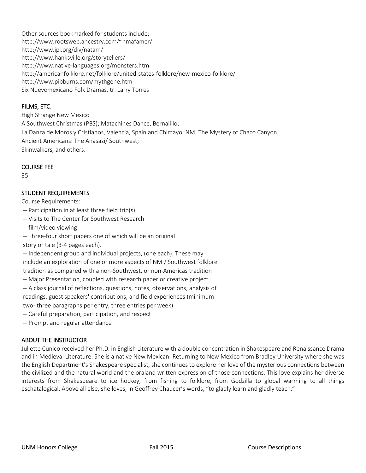Other sources bookmarked for students include: http://www.rootsweb.ancestry.com/~nmafamer/ http://www.ipl.org/div/natam/ http://www.hanksville.org/storytellers/ http://www.native-languages.org/monsters.htm http://americanfolklore.net/folklore/united-states-folklore/new-mexico-folklore/ http://www.pibburns.com/mythgene.htm Six Nuevomexicano Folk Dramas, tr. Larry Torres

#### FILMS, ETC.

High Strange New Mexico A Southwest Christmas (PBS); Matachines Dance, Bernalillo; La Danza de Moros y Cristianos, Valencia, Spain and Chimayo, NM; The Mystery of Chaco Canyon; Ancient Americans: The Anasazi/ Southwest; Skinwalkers, and others.

#### COURSE FEE

35

#### STUDENT REQUIREMENTS

Course Requirements:

- -- Participation in at least three field trip(s)
- -- Visits to The Center for Southwest Research
- -- film/video viewing
- -- Three-four short papers one of which will be an original
- story or tale (3-4 pages each).

-- Independent group and individual projects, (one each). These may include an exploration of one or more aspects of NM / Southwest folklore tradition as compared with a non-Southwest, or non-Americas tradition

-- Major Presentation, coupled with research paper or creative project

-- A class journal of reflections, questions, notes, observations, analysis of

readings, guest speakers' contributions, and field experiences (minimum

two- three paragraphs per entry, three entries per week)

- -- Careful preparation, participation, and respect
- -- Prompt and regular attendance

#### ABOUT THE INSTRUCTOR

Juliette Cunico received her Ph.D. in English Literature with a double concentration in Shakespeare and Renaissance Drama and in Medieval Literature. She is a native New Mexican. Returning to New Mexico from Bradley University where she was the English Department's Shakespeare specialist, she continues to explore her love of the mysterious connections between the civilized and the natural world and the oraland written expression of those connections. This love explains her diverse interests–from Shakespeare to ice hockey, from fishing to folklore, from Godzilla to global warming to all things eschatalogical. Above all else, she loves, in Geoffrey Chaucer's words, "to gladly learn and gladly teach."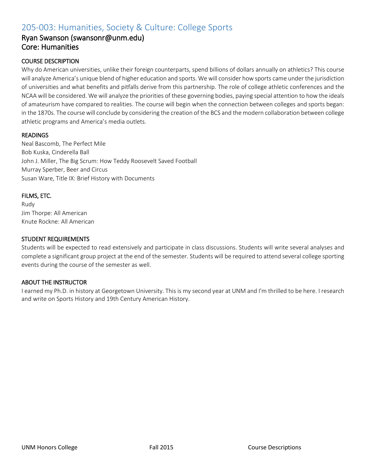# 205-003: Humanities, Society & Culture: College Sports

### Ryan Swanson (swansonr@unm.edu) Core: Humanities

#### COURSE DESCRIPTION

Why do American universities, unlike their foreign counterparts, spend billions of dollars annually on athletics? This course will analyze America's unique blend of higher education and sports. We will consider how sports came under the jurisdiction of universities and what benefits and pitfalls derive from this partnership. The role of college athletic conferences and the NCAA will be considered. We will analyze the priorities of these governing bodies, paying special attention to how the ideals of amateurism have compared to realities. The course will begin when the connection between colleges and sports began: in the 1870s. The course will conclude by considering the creation of the BCS and the modern collaboration between college athletic programs and America's media outlets.

#### READINGS

Neal Bascomb, The Perfect Mile Bob Kuska, Cinderella Ball John J. Miller, The Big Scrum: How Teddy Roosevelt Saved Football Murray Sperber, Beer and Circus Susan Ware, Title IX: Brief History with Documents

#### FILMS, ETC.

Rudy Jim Thorpe: All American Knute Rockne: All American

#### STUDENT REQUIREMENTS

Students will be expected to read extensively and participate in class discussions. Students will write several analyses and complete a significant group project at the end of the semester. Students will be required to attend several college sporting events during the course of the semester as well.

#### ABOUT THE INSTRUCTOR

I earned my Ph.D. in history at Georgetown University. This is my second year at UNM and I'm thrilled to be here. I research and write on Sports History and 19th Century American History.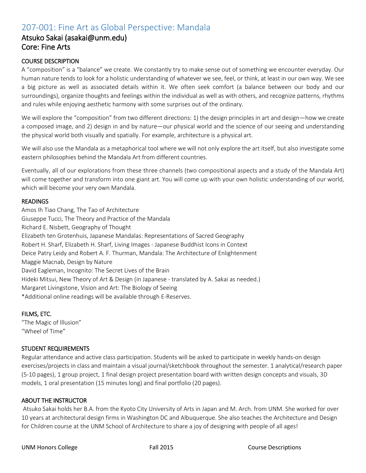# 207-001: Fine Art as Global Perspective: Mandala

### Atsuko Sakai (asakai@unm.edu) Core: Fine Arts

#### COURSE DESCRIPTION

A "composition" is a "balance" we create. We constantly try to make sense out of something we encounter everyday. Our human nature tends to look for a holistic understanding of whatever we see, feel, or think, at least in our own way. We see a big picture as well as associated details within it. We often seek comfort (a balance between our body and our surroundings), organize thoughts and feelings within the individual as well as with others, and recognize patterns, rhythms and rules while enjoying aesthetic harmony with some surprises out of the ordinary.

We will explore the "composition" from two different directions: 1) the design principles in art and design—how we create a composed image, and 2) design in and by nature—our physical world and the science of our seeing and understanding the physical world both visually and spatially. For example, architecture is a physical art.

We will also use the Mandala as a metaphorical tool where we will not only explore the art itself, but also investigate some eastern philosophies behind the Mandala Art from different countries.

Eventually, all of our explorations from these three channels (two compositional aspects and a study of the Mandala Art) will come together and transform into one giant art. You will come up with your own holistic understanding of our world, which will become your very own Mandala.

#### **READINGS**

Amos Ih Tiao Chang, The Tao of Architecture Giuseppe Tucci, The Theory and Practice of the Mandala Richard E. Nisbett, Geography of Thought Elizabeth ten Grotenhuis, Japanese Mandalas: Representations of Sacred Geography Robert H. Sharf, Elizabeth H. Sharf, Living Images - Japanese Buddhist Icons in Context Deice Patry Leidy and Robert A. F. Thurman, Mandala: The Architecture of Enlightenment Maggie Macnab, Design by Nature David Eagleman, Incognito: The Secret Lives of the Brain Hideki Mitsui, New Theory of Art & Design (in Japanese - translated by A. Sakai as needed.) Margaret Livingstone, Vision and Art: The Biology of Seeing \*Additional online readings will be available through E-Reserves.

#### FILMS, ETC.

"The Magic of Illusion" "Wheel of Time"

#### STUDENT REQUIREMENTS

Regular attendance and active class participation. Students will be asked to participate in weekly hands-on design exercises/projects in class and maintain a visual journal/sketchbook throughout the semester. 1 analytical/research paper (5-10 pages), 1 group project, 1 final design project presentation board with written design concepts and visuals, 3D models, 1 oral presentation (15 minutes long) and final portfolio (20 pages).

#### ABOUT THE INSTRUCTOR

Atsuko Sakai holds her B.A. from the Kyoto City University of Arts in Japan and M. Arch. from UNM. She worked for over 10 years at architectural design firms in Washington DC and Albuquerque. She also teaches the Architecture and Design for Children course at the UNM School of Architecture to share a joy of designing with people of all ages!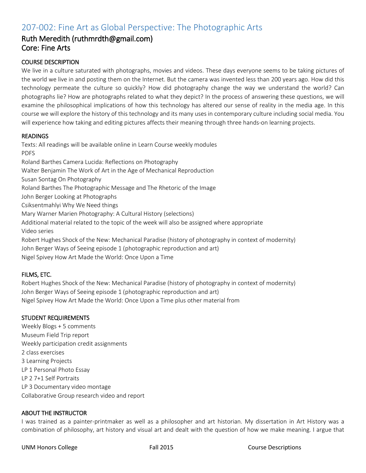# 207-002: Fine Art as Global Perspective: The Photographic Arts

### Ruth Meredith (ruthmrdth@gmail.com) Core: Fine Arts

#### COURSE DESCRIPTION

We live in a culture saturated with photographs, movies and videos. These days everyone seems to be taking pictures of the world we live in and posting them on the Internet. But the camera was invented less than 200 years ago. How did this technology permeate the culture so quickly? How did photography change the way we understand the world? Can photographs lie? How are photographs related to what they depict? In the process of answering these questions, we will examine the philosophical implications of how this technology has altered our sense of reality in the media age. In this course we will explore the history of this technology and its many uses in contemporary culture including social media. You will experience how taking and editing pictures affects their meaning through three hands-on learning projects.

#### READINGS

Texts: All readings will be available online in Learn Course weekly modules PDFS Roland Barthes Camera Lucida: Reflections on Photography Walter Benjamin The Work of Art in the Age of Mechanical Reproduction Susan Sontag On Photography Roland Barthes The Photographic Message and The Rhetoric of the Image John Berger Looking at Photographs Csiksentmahlyi Why We Need things Mary Warner Marien Photography: A Cultural History (selections) Additional material related to the topic of the week will also be assigned where appropriate Video series Robert Hughes Shock of the New: Mechanical Paradise (history of photography in context of modernity) John Berger Ways of Seeing episode 1 (photographic reproduction and art)

Nigel Spivey How Art Made the World: Once Upon a Time

#### FILMS, ETC.

Robert Hughes Shock of the New: Mechanical Paradise (history of photography in context of modernity) John Berger Ways of Seeing episode 1 (photographic reproduction and art) Nigel Spivey How Art Made the World: Once Upon a Time plus other material from

#### STUDENT REQUIREMENTS

Weekly Blogs + 5 comments Museum Field Trip report Weekly participation credit assignments 2 class exercises 3 Learning Projects LP 1 Personal Photo Essay LP 2 7+1 Self Portraits LP 3 Documentary video montage Collaborative Group research video and report

#### ABOUT THE INSTRUCTOR

I was trained as a painter-printmaker as well as a philosopher and art historian. My dissertation in Art History was a combination of philosophy, art history and visual art and dealt with the question of how we make meaning. I argue that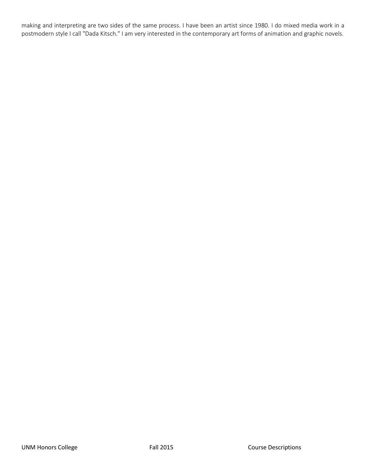making and interpreting are two sides of the same process. I have been an artist since 1980. I do mixed media work in a postmodern style I call "Dada Kitsch." I am very interested in the contemporary art forms of animation and graphic novels.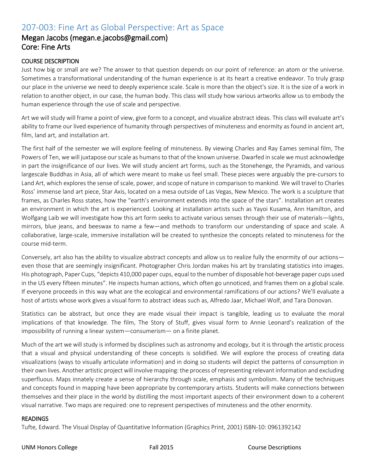# 207-003: Fine Art as Global Perspective: Art as Space

### Megan Jacobs (megan.e.jacobs@gmail.com) Core: Fine Arts

#### COURSE DESCRIPTION

Just how big or small are we? The answer to that question depends on our point of reference: an atom or the universe. Sometimes a transformational understanding of the human experience is at its heart a creative endeavor. To truly grasp our place in the universe we need to deeply experience scale. Scale is more than the object's size. It is the size of a work in relation to another object, in our case, the human body. This class will study how various artworks allow us to embody the human experience through the use of scale and perspective.

Art we will study will frame a point of view, give form to a concept, and visualize abstract ideas. This class will evaluate art's ability to frame our lived experience of humanity through perspectives of minuteness and enormity as found in ancient art, film, land art, and installation art.

The first half of the semester we will explore feeling of minuteness. By viewing Charles and Ray Eames seminal film, The Powers of Ten, we will juxtapose our scale as humans to that of the known universe. Dwarfed in scale we must acknowledge in part the insignificance of our lives. We will study ancient art forms, such as the Stonehenge, the Pyramids, and various largescale Buddhas in Asia, all of which were meant to make us feel small. These pieces were arguably the pre-cursors to Land Art, which explores the sense of scale, power, and scope of nature in comparison to mankind. We will travel to Charles Ross' immense land art piece, Star Axis, located on a mesa outside of Las Vegas, New Mexico. The work is a sculpture that frames, as Charles Ross states, how the "earth's environment extends into the space of the stars". Installation art creates an environment in which the art is experienced. Looking at installation artists such as Yayoi Kusama, Ann Hamilton, and Wolfgang Laib we will investigate how this art form seeks to activate various senses through their use of materials—lights, mirrors, blue jeans, and beeswax to name a few—and methods to transform our understanding of space and scale. A collaborative, large-scale, immersive installation will be created to synthesize the concepts related to minuteness for the course mid-term.

Conversely, art also has the ability to visualize abstract concepts and allow us to realize fully the enormity of our actions even those that are seemingly insignificant. Photographer Chris Jordan makes his art by translating statistics into images. His photograph, Paper Cups, "depicts 410,000 paper cups, equal to the number of disposable hot-beverage paper cups used in the US every fifteen minutes". He inspects human actions, which often go unnoticed, and frames them on a global scale. If everyone proceeds in this way what are the ecological and environmental ramifications of our actions? We'll evaluate a host of artists whose work gives a visual form to abstract ideas such as, Alfredo Jaar, Michael Wolf, and Tara Donovan.

Statistics can be abstract, but once they are made visual their impact is tangible, leading us to evaluate the moral implications of that knowledge. The film, The Story of Stuff, gives visual form to Annie Leonard's realization of the impossibility of running a linear system—consumerism— on a finite planet.

Much of the art we will study is informed by disciplines such as astronomy and ecology, but it is through the artistic process that a visual and physical understanding of these concepts is solidified. We will explore the process of creating data visualizations (ways to visually articulate information) and in doing so students will depict the patterns of consumption in their own lives. Another artistic project will involve mapping: the process of representing relevant information and excluding superfluous. Maps innately create a sense of hierarchy through scale, emphasis and symbolism. Many of the techniques and concepts found in mapping have been appropriate by contemporary artists. Students will make connections between themselves and their place in the world by distilling the most important aspects of their environment down to a coherent visual narrative. Two maps are required: one to represent perspectives of minuteness and the other enormity.

#### **READINGS**

Tufte, Edward. The Visual Display of Quantitative Information (Graphics Print, 2001) ISBN-10: 0961392142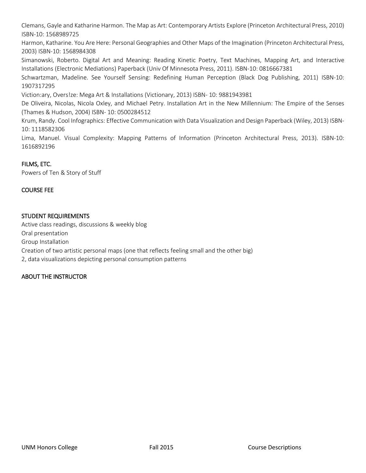Clemans, Gayle and Katharine Harmon. The Map as Art: Contemporary Artists Explore (Princeton Architectural Press, 2010) ISBN-10: 1568989725

Harmon, Katharine. You Are Here: Personal Geographies and Other Maps of the Imagination (Princeton Architectural Press, 2003) ISBN-10: 1568984308

Simanowski, Roberto. Digital Art and Meaning: Reading Kinetic Poetry, Text Machines, Mapping Art, and Interactive Installations (Electronic Mediations) Paperback (Univ Of Minnesota Press, 2011). ISBN-10: 0816667381

Schwartzman, Madeline. See Yourself Sensing: Redefining Human Perception (Black Dog Publishing, 2011) ISBN-10: 1907317295

Viction:ary, Overs!ze: Mega Art & Installations (Victionary, 2013) ISBN- 10: 9881943981

De Oliveira, Nicolas, Nicola Oxley, and Michael Petry. Installation Art in the New Millennium: The Empire of the Senses (Thames & Hudson, 2004) ISBN- 10: 0500284512

Krum, Randy. Cool Infographics: Effective Communication with Data Visualization and Design Paperback (Wiley, 2013) ISBN-10: 1118582306

Lima, Manuel. Visual Complexity: Mapping Patterns of Information (Princeton Architectural Press, 2013). ISBN-10: 1616892196

#### FILMS, ETC.

Powers of Ten & Story of Stuff

#### COURSE FEE

#### STUDENT REQUIREMENTS

Active class readings, discussions & weekly blog Oral presentation Group Installation Creation of two artistic personal maps (one that reflects feeling small and the other big) 2, data visualizations depicting personal consumption patterns

#### ABOUT THE INSTRUCTOR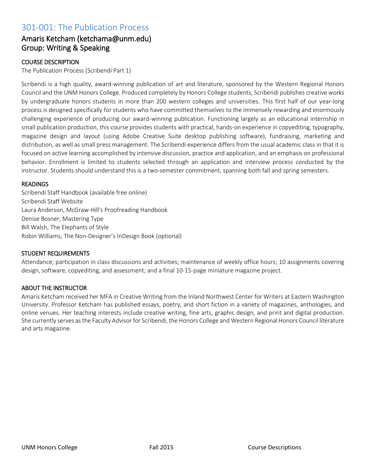### 301-001: The Publication Process

### Amaris Ketcham (ketchama@unm.edu) Group: Writing & Speaking

#### COURSE DESCRIPTION

The Publication Process (Scribendi Part 1)

Scribendi is a high quality, award-winning publication of art and literature, sponsored by the Western Regional Honors Council and the UNM Honors College. Produced completely by Honors College students, Scribendi publishes creative works by undergraduate honors students in more than 200 western colleges and universities. This first half of our year-long process is designed specifically for students who have committed themselves to the immensely rewarding and enormously challenging experience of producing our award-winning publication. Functioning largely as an educational internship in small publication production, this course provides students with practical, hands-on experience in copyediting, typography, magazine design and layout (using Adobe Creative Suite desktop publishing software), fundraising, marketing and distribution, as well as small press management. The Scribendi experience differs from the usual academic class in that it is focused on active learning accomplished by intensive discussion, practice and application, and an emphasis on professional behavior. Enrollment is limited to students selected through an application and interview process conducted by the instructor. Students should understand this is a two-semester commitment, spanning both fall and spring semesters.

#### **READINGS**

Scribendi Staff Handbook (available free online) Scribendi Staff Website Laura Anderson, McGraw-Hill's Proofreading Handbook Denise Bosner, Mastering Type Bill Walsh, The Elephants of Style Robin Williams, The Non-Designer's InDesign Book (optional)

#### STUDENT REQUIREMENTS

Attendance; participation in class discussions and activities; maintenance of weekly office hours; 10 assignments covering design, software, copyediting, and assessment; and a final 10-15-page miniature magazine project.

#### ABOUT THE INSTRUCTOR

Amaris Ketcham received her MFA in Creative Writing from the Inland Northwest Center for Writers at Eastern Washington University. Professor Ketcham has published essays, poetry, and short fiction in a variety of magazines, anthologies, and online venues. Her teaching interests include creative writing, fine arts, graphic design, and print and digital production. She currently serves as the Faculty Advisor for Scribendi, the Honors College and Western Regional Honors Council literature and arts magazine.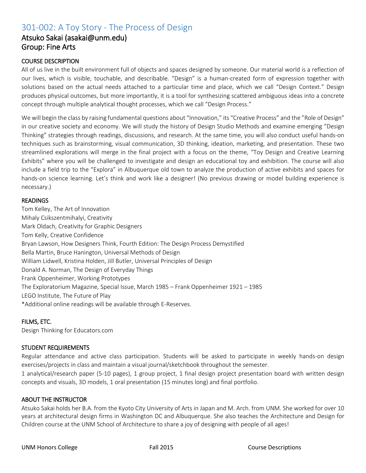# 301-002: A Toy Story - The Process of Design

### Atsuko Sakai (asakai@unm.edu) Group: Fine Arts

#### COURSE DESCRIPTION

All of us live in the built environment full of objects and spaces designed by someone. Our material world is a reflection of our lives, which is visible, touchable, and describable. "Design" is a human-created form of expression together with solutions based on the actual needs attached to a particular time and place, which we call "Design Context." Design produces physical outcomes, but more importantly, it is a tool for synthesizing scattered ambiguous ideas into a concrete concept through multiple analytical thought processes, which we call "Design Process."

We will begin the class by raising fundamental questions about "Innovation," its "Creative Process" and the "Role of Design" in our creative society and economy. We will study the history of Design Studio Methods and examine emerging "Design Thinking" strategies through readings, discussions, and research. At the same time, you will also conduct useful hands-on techniques such as brainstorming, visual communication, 3D thinking, ideation, marketing, and presentation. These two streamlined explorations will merge in the final project with a focus on the theme, "Toy Design and Creative Learning Exhibits" where you will be challenged to investigate and design an educational toy and exhibition. The course will also include a field trip to the "Explora" in Albuquerque old town to analyze the production of active exhibits and spaces for hands-on science learning. Let's think and work like a designer! (No previous drawing or model building experience is necessary.)

#### **READINGS**

Tom Kelley, The Art of Innovation Mihaly Csikszentmihalyi, Creativity Mark Oldach, Creativity for Graphic Designers Tom Kelly, Creative Confidence Bryan Lawson, How Designers Think, Fourth Edition: The Design Process Demystified Bella Martin, Bruce Hanington, Universal Methods of Design William Lidwell, Kristina Holden, Jill Butler, Universal Principles of Design Donald A. Norman, The Design of Everyday Things Frank Oppenheimer, Working Prototypes The Exploratorium Magazine, Special Issue, March 1985 – Frank Oppenheimer 1921 – 1985 LEGO Institute, The Future of Play \*Additional online readings will be available through E-Reserves.

#### FILMS, ETC.

Design Thinking for Educators.com

#### STUDENT REQUIREMENTS

Regular attendance and active class participation. Students will be asked to participate in weekly hands-on design exercises/projects in class and maintain a visual journal/sketchbook throughout the semester.

1 analytical/research paper (5-10 pages), 1 group project, 1 final design project presentation board with written design concepts and visuals, 3D models, 1 oral presentation (15 minutes long) and final portfolio.

#### ABOUT THE INSTRUCTOR

Atsuko Sakai holds her B.A. from the Kyoto City University of Arts in Japan and M. Arch. from UNM. She worked for over 10 years at architectural design firms in Washington DC and Albuquerque. She also teaches the Architecture and Design for Children course at the UNM School of Architecture to share a joy of designing with people of all ages!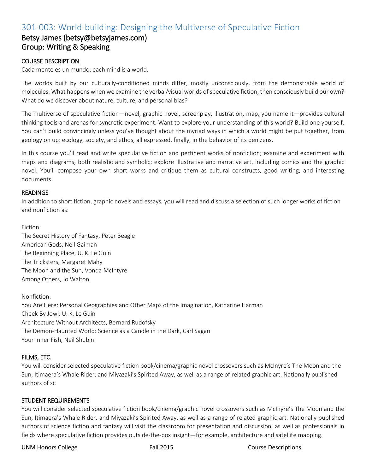# 301-003: World-building: Designing the Multiverse of Speculative Fiction

### Betsy James (betsy@betsyjames.com) Group: Writing & Speaking

#### COURSE DESCRIPTION

Cada mente es un mundo: each mind is a world.

The worlds built by our culturally-conditioned minds differ, mostly unconsciously, from the demonstrable world of molecules. What happens when we examine the verbal/visual worlds of speculative fiction, then consciously build our own? What do we discover about nature, culture, and personal bias?

The multiverse of speculative fiction—novel, graphic novel, screenplay, illustration, map, you name it—provides cultural thinking tools and arenas for syncretic experiment. Want to explore your understanding of this world? Build one yourself. You can't build convincingly unless you've thought about the myriad ways in which a world might be put together, from geology on up: ecology, society, and ethos, all expressed, finally, in the behavior of its denizens.

In this course you'll read and write speculative fiction and pertinent works of nonfiction; examine and experiment with maps and diagrams, both realistic and symbolic; explore illustrative and narrative art, including comics and the graphic novel. You'll compose your own short works and critique them as cultural constructs, good writing, and interesting documents.

#### READINGS

In addition to short fiction, graphic novels and essays, you will read and discuss a selection of such longer works of fiction and nonfiction as:

#### Fiction:

The Secret History of Fantasy, Peter Beagle American Gods, Neil Gaiman The Beginning Place, U. K. Le Guin The Tricksters, Margaret Mahy The Moon and the Sun, Vonda McIntyre Among Others, Jo Walton

Nonfiction: You Are Here: Personal Geographies and Other Maps of the Imagination, Katharine Harman Cheek By Jowl, U. K. Le Guin Architecture Without Architects, Bernard Rudofsky The Demon-Haunted World: Science as a Candle in the Dark, Carl Sagan Your Inner Fish, Neil Shubin

#### FILMS, ETC.

You will consider selected speculative fiction book/cinema/graphic novel crossovers such as McInyre's The Moon and the Sun, Itimaera's Whale Rider, and Miyazaki's Spirited Away, as well as a range of related graphic art. Nationally published authors of sc

#### STUDENT REQUIREMENTS

You will consider selected speculative fiction book/cinema/graphic novel crossovers such as McInyre's The Moon and the Sun, Itimaera's Whale Rider, and Miyazaki's Spirited Away, as well as a range of related graphic art. Nationally published authors of science fiction and fantasy will visit the classroom for presentation and discussion, as well as professionals in fields where speculative fiction provides outside-the-box insight—for example, architecture and satellite mapping.

UNM Honors College Fall 2015 Course Descriptions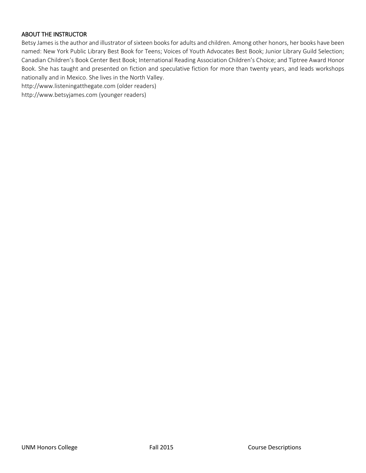#### ABOUT THE INSTRUCTOR

Betsy James is the author and illustrator of sixteen books for adults and children. Among other honors, her books have been named: New York Public Library Best Book for Teens; Voices of Youth Advocates Best Book; Junior Library Guild Selection; Canadian Children's Book Center Best Book; International Reading Association Children's Choice; and Tiptree Award Honor Book. She has taught and presented on fiction and speculative fiction for more than twenty years, and leads workshops nationally and in Mexico. She lives in the North Valley.

http://www.listeningatthegate.com (older readers)

http://www.betsyjames.com (younger readers)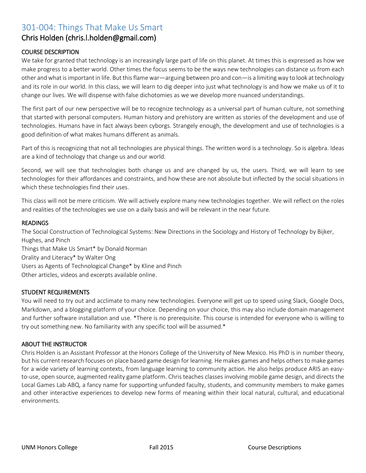# 301-004: Things That Make Us Smart

### Chris Holden (chris.l.holden@gmail.com)

#### COURSE DESCRIPTION

We take for granted that technology is an increasingly large part of life on this planet. At times this is expressed as how we make progress to a better world. Other times the focus seems to be the ways new technologies can distance us from each other and what is important in life. But this flame war—arguing between pro and con—is a limiting way to look at technology and its role in our world. In this class, we will learn to dig deeper into just what technology is and how we make us of it to change our lives. We will dispense with false dichotomies as we we develop more nuanced understandings.

The first part of our new perspective will be to recognize technology as a universal part of human culture, not something that started with personal computers. Human history and prehistory are written as stories of the development and use of technologies. Humans have in fact always been cyborgs. Strangely enough, the development and use of technologies is a good definition of what makes humans different as animals.

Part of this is recognizing that not all technologies are physical things. The written word is a technology. So is algebra. Ideas are a kind of technology that change us and our world.

Second, we will see that technologies both change us and are changed by us, the users. Third, we will learn to see technologies for their affordances and constraints, and how these are not absolute but inflected by the social situations in which these technologies find their uses.

This class will not be mere criticism. We will actively explore many new technologies together. We will reflect on the roles and realities of the technologies we use on a daily basis and will be relevant in the near future.

#### READINGS

The Social Construction of Technological Systems: New Directions in the Sociology and History of Technology by Bijker, Hughes, and Pinch Things that Make Us Smart\* by Donald Norman Orality and Literacy\* by Walter Ong Users as Agents of Technological Change\* by Kline and Pinch Other articles, videos and excerpts available online.

#### STUDENT REQUIREMENTS

You will need to try out and acclimate to many new technologies. Everyone will get up to speed using Slack, Google Docs, Markdown, and a blogging platform of your choice. Depending on your choice, this may also include domain management and further software installation and use. \*There is no prerequisite. This course is intended for everyone who is willing to try out something new. No familiarity with any specific tool will be assumed.\*

#### ABOUT THE INSTRUCTOR

Chris Holden is an Assistant Professor at the Honors College of the University of New Mexico. His PhD is in number theory, but his current research focuses on place based game design for learning. He makes games and helps others to make games for a wide variety of learning contexts, from language learning to community action. He also helps produce ARIS an easyto-use, open source, augmented reality game platform. Chris teaches classes involving mobile game design, and directs the Local Games Lab ABQ, a fancy name for supporting unfunded faculty, students, and community members to make games and other interactive experiences to develop new forms of meaning within their local natural, cultural, and educational environments.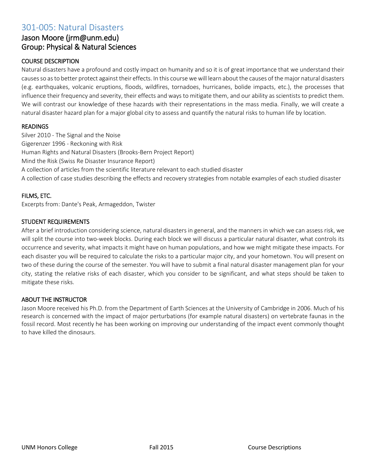### 301-005: Natural Disasters

### Jason Moore (jrm@unm.edu) Group: Physical & Natural Sciences

#### COURSE DESCRIPTION

Natural disasters have a profound and costly impact on humanity and so it is of great importance that we understand their causes so as to better protect against their effects. In this course we will learn about the causes of the major natural disasters (e.g. earthquakes, volcanic eruptions, floods, wildfires, tornadoes, hurricanes, bolide impacts, etc.), the processes that influence their frequency and severity, their effects and ways to mitigate them, and our ability as scientists to predict them. We will contrast our knowledge of these hazards with their representations in the mass media. Finally, we will create a natural disaster hazard plan for a major global city to assess and quantify the natural risks to human life by location.

#### **READINGS**

Silver 2010 - The Signal and the Noise Gigerenzer 1996 - Reckoning with Risk Human Rights and Natural Disasters (Brooks-Bern Project Report) Mind the Risk (Swiss Re Disaster Insurance Report) A collection of articles from the scientific literature relevant to each studied disaster A collection of case studies describing the effects and recovery strategies from notable examples of each studied disaster

#### FILMS, ETC.

Excerpts from: Dante's Peak, Armageddon, Twister

#### STUDENT REQUIREMENTS

After a brief introduction considering science, natural disasters in general, and the manners in which we can assess risk, we will split the course into two-week blocks. During each block we will discuss a particular natural disaster, what controls its occurrence and severity, what impacts it might have on human populations, and how we might mitigate these impacts. For each disaster you will be required to calculate the risks to a particular major city, and your hometown. You will present on two of these during the course of the semester. You will have to submit a final natural disaster management plan for your city, stating the relative risks of each disaster, which you consider to be significant, and what steps should be taken to mitigate these risks.

#### ABOUT THE INSTRUCTOR

Jason Moore received his Ph.D. from the Department of Earth Sciences at the University of Cambridge in 2006. Much of his research is concerned with the impact of major perturbations (for example natural disasters) on vertebrate faunas in the fossil record. Most recently he has been working on improving our understanding of the impact event commonly thought to have killed the dinosaurs.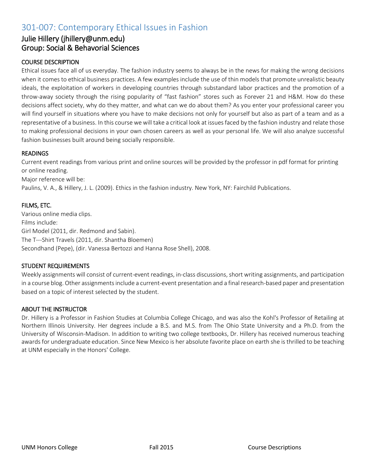# 301-007: Contemporary Ethical Issues in Fashion

### Julie Hillery (jhillery@unm.edu) Group: Social & Behavorial Sciences

#### COURSE DESCRIPTION

Ethical issues face all of us everyday. The fashion industry seems to always be in the news for making the wrong decisions when it comes to ethical business practices. A few examples include the use of thin models that promote unrealistic beauty ideals, the exploitation of workers in developing countries through substandard labor practices and the promotion of a throw-away society through the rising popularity of "fast fashion" stores such as Forever 21 and H&M. How do these decisions affect society, why do they matter, and what can we do about them? As you enter your professional career you will find yourself in situations where you have to make decisions not only for yourself but also as part of a team and as a representative of a business. In this course we will take a critical look at issues faced by the fashion industry and relate those to making professional decisions in your own chosen careers as well as your personal life. We will also analyze successful fashion businesses built around being socially responsible.

#### READINGS

Current event readings from various print and online sources will be provided by the professor in pdf format for printing or online reading. Major reference will be: Paulins, V. A., & Hillery, J. L. (2009). Ethics in the fashion industry. New York, NY: Fairchild Publications.

#### FILMS, ETC.

Various online media clips. Films include: Girl Model (2011, dir. Redmond and Sabin). The T---Shirt Travels (2011, dir. Shantha Bloemen) Secondhand (Pepe), (dir. Vanessa Bertozzi and Hanna Rose Shell), 2008.

#### STUDENT REQUIREMENTS

Weekly assignments will consist of current-event readings, in-class discussions, short writing assignments, and participation in a course blog. Other assignments include a current-event presentation and a final research-based paper and presentation based on a topic of interest selected by the student.

#### ABOUT THE INSTRUCTOR

Dr. Hillery is a Professor in Fashion Studies at Columbia College Chicago, and was also the Kohl's Professor of Retailing at Northern Illinois University. Her degrees include a B.S. and M.S. from The Ohio State University and a Ph.D. from the University of Wisconsin-Madison. In addition to writing two college textbooks, Dr. Hillery has received numerous teaching awards for undergraduate education. Since New Mexico is her absolute favorite place on earth she is thrilled to be teaching at UNM especially in the Honors' College.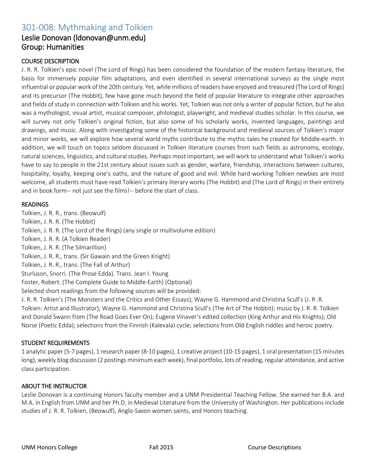# 301-008: Mythmaking and Tolkien

### Leslie Donovan (ldonovan@unm.edu) Group: Humanities

#### COURSE DESCRIPTION

J. R. R. Tolkien's epic novel (The Lord of Rings) has been considered the foundation of the modern fantasy literature, the basis for immensely popular film adaptations, and even identified in several international surveys as the single most influential or popular work of the 20th century. Yet, while millions of readers have enjoyed and treasured (The Lord of Rings) and its precursor (The Hobbit), few have gone much beyond the field of popular literature to integrate other approaches and fields of study in connection with Tolkien and his works. Yet, Tolkien was not only a writer of popular fiction, but he also was a mythologist, visual artist, musical composer, philologist, playwright, and medieval studies scholar. In this course, we will survey not only Tolkien's original fiction, but also some of his scholarly works, invented languages, paintings and drawings, and music. Along with investigating some of the historical background and medieval sources of Tolkien's major and minor works, we will explore how several world myths contribute to the mythic tales he created for Middle-earth. In addition, we will touch on topics seldom discussed in Tolkien literature courses from such fields as astronomy, ecology, natural sciences, linguistics, and cultural studies. Perhaps most important, we will work to understand what Tolkien's works have to say to people in the 21st century about issues such as gender, warfare, friendship, interactions between cultures, hospitality, loyalty, keeping one's oaths, and the nature of good and evil. While hard-working Tolkien newbies are most welcome, all students must have read Tolkien's primary literary works (The Hobbit) and (The Lord of Rings) in their entirety and in book form-- not just see the films!-- before the start of class.

#### READINGS

Tolkien, J. R. R., trans. (Beowulf) Tolkien, J. R. R. (The Hobbit) Tolkien, J. R. R. (The Lord of the Rings) (any single or multivolume edition) Tolkien, J. R. R. (A Tolkien Reader) Tolkien, J. R. R. (The Silmarillion) Tolkien, J. R. R., trans. (Sir Gawain and the Green Knight) Tolkien, J. R. R., trans. (The Fall of Arthur) Sturluson, Snorri. (The Prose Edda). Trans. Jean I. Young Foster, Robert. (The Complete Guide to Middle-Earth) (Optional) Selected short readings from the following sources will be provided: J. R. R. Tolkien's (The Monsters and the Critics and Other Essays); Wayne G. Hammond and Christina Scull's (J. R .R. Tolkien: Artist and Illustrator); Wayne G. Hammond and Christina Scull's (The Art of The Hobbit); music by J. R. R. Tolkien and Donald Swann from (The Road Goes Ever On); Eugene Vinaver's edited collection (King Arthur and His Knights); Old Norse (Poetic Edda); selections from the Finnish (Kalevala) cycle; selections from Old English riddles and heroic poetry.

#### STUDENT REQUIREMENTS

1 analytic paper (5-7 pages), 1 research paper (8-10 pages), 1 creative project (10-15 pages), 1 oral presentation (15 minutes long), weekly blog discussion (2 postings minimum each week), final portfolio, lots of reading, regular attendance, and active class participation.

#### ABOUT THE INSTRUCTOR

Leslie Donovan is a continuing Honors faculty member and a UNM Presidential Teaching Fellow. She earned her B.A. and M.A. in English from UNM and her Ph.D. in Medieval Literature from the University of Washington. Her publications include studies of J. R. R. Tolkien, (Beowulf), Anglo-Saxon women saints, and Honors teaching.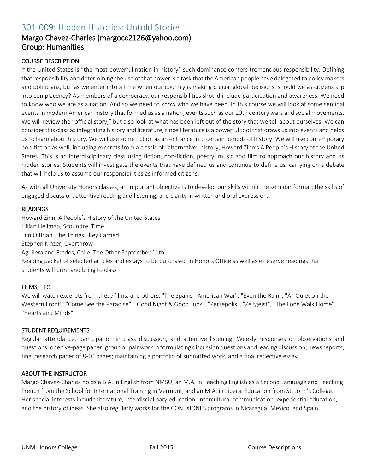# 301-009: Hidden Histories: Untold Stories

### Margo Chavez-Charles (margocc2126@yahoo.com) Group: Humanities

#### COURSE DESCRIPTION

If the United States is "the most powerful nation in history" such dominance confers tremendous responsibility. Defining that responsibility and determining the use of that power is a task that the American people have delegated to policy makers and politicians, but as we enter into a time when our country is making crucial global decisions, should we as citizens slip into complacency? As members of a democracy, our responsibilities should include participation and awareness. We need to know who we are as a nation. And so we need to know who we have been. In this course we will look at some seminal events in modern American history that formed us as a nation, events such as our 20th century wars and social movements. We will review the "official story," but also look at what has been left out of the story that we tell about ourselves. We can consider this class as integrating history and literature, since literature is a powerful tool that draws us into events and helps us to learn about history. We will use some fiction as an entrance into certain periods of history. We will use contemporary non-fiction as well, including excerpts from a classic of "alternative" history, Howard Zinn's A People's History of the United States. This is an interdisciplinary class using fiction, non-fiction, poetry, music and film to approach our history and its hidden stories. Students will investigate the events that have defined us and continue to define us, carrying on a debate that will help us to assume our responsibilities as informed citizens.

As with all University Honors classes, an important objective is to develop our skills within the seminar format: the skills of engaged discussion, attentive reading and listening, and clarity in written and oral expression.

#### READINGS

Howard Zinn, A People's History of the United States Lillian Hellman, Scoundrel Time Tim O'Brian, The Things They Carried Stephen Kinzer, Overthrow Aguilera and Fredes, Chile: The Other September 11th Reading packet of selected articles and essays to be purchased in Honors Office as well as e-reserve readings that students will print and bring to class

#### FILMS, ETC.

We will watch excerpts from these films, and others: "The Spanish American War", "Even the Rain", "All Quiet on the Western Front", "Come See the Paradise", "Good Night & Good Luck", "Persepolis", "Zeitgeist", "The Long Walk Home", "Hearts and Minds",

#### STUDENT REQUIREMENTS

Regular attendance, participation in class discussion, and attentive listening. Weekly responses or observations and questions; one five-page paper; group or pair work in formulating discussion questions and leading discussion; news reports; final research paper of 8-10 pages; maintaining a portfolio of submitted work, and a final reflective essay.

#### ABOUT THE INSTRUCTOR

Margo Chavez-Charles holds a B.A. in English from NMSU, an M.A. in Teaching English as a Second Language and Teaching French from the School for International Training in Vermont, and an M.A. in Liberal Education from St. John's College. Her special interests include literature, interdisciplinary education, intercultural communication, experiential education, and the history of ideas. She also regularly works for the CONEXIONES programs in Nicaragua, Mexico, and Spain.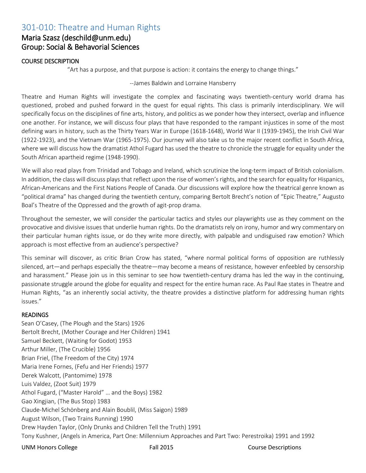# 301-010: Theatre and Human Rights

### Maria Szasz (deschild@unm.edu) Group: Social & Behavorial Sciences

#### COURSE DESCRIPTION

"Art has a purpose, and that purpose is action: it contains the energy to change things."

#### --James Baldwin and Lorraine Hansberry

Theatre and Human Rights will investigate the complex and fascinating ways twentieth-century world drama has questioned, probed and pushed forward in the quest for equal rights. This class is primarily interdisciplinary. We will specifically focus on the disciplines of fine arts, history, and politics as we ponder how they intersect, overlap and influence one another. For instance, we will discuss four plays that have responded to the rampant injustices in some of the most defining wars in history, such as the Thirty Years War in Europe (1618-1648), World War II (1939-1945), the Irish Civil War (1922-1923), and the Vietnam War (1965-1975). Our journey will also take us to the major recent conflict in South Africa, where we will discuss how the dramatist Athol Fugard has used the theatre to chronicle the struggle for equality under the South African apartheid regime (1948-1990).

We will also read plays from Trinidad and Tobago and Ireland, which scrutinize the long-term impact of British colonialism. In addition, the class will discuss plays that reflect upon the rise of women's rights, and the search for equality for Hispanics, African-Americans and the First Nations People of Canada. Our discussions will explore how the theatrical genre known as "political drama" has changed during the twentieth century, comparing Bertolt Brecht's notion of "Epic Theatre," Augusto Boal's Theatre of the Oppressed and the growth of agit-prop drama.

Throughout the semester, we will consider the particular tactics and styles our playwrights use as they comment on the provocative and divisive issues that underlie human rights. Do the dramatists rely on irony, humor and wry commentary on their particular human rights issue, or do they write more directly, with palpable and undisguised raw emotion? Which approach is most effective from an audience's perspective?

This seminar will discover, as critic Brian Crow has stated, "where normal political forms of opposition are ruthlessly silenced, art—and perhaps especially the theatre—may become a means of resistance, however enfeebled by censorship and harassment." Please join us in this seminar to see how twentieth-century drama has led the way in the continuing, passionate struggle around the globe for equality and respect for the entire human race. As Paul Rae states in Theatre and Human Rights, "as an inherently social activity, the theatre provides a distinctive platform for addressing human rights issues."

#### **READINGS**

Sean O'Casey, (The Plough and the Stars) 1926 Bertolt Brecht, (Mother Courage and Her Children) 1941 Samuel Beckett, (Waiting for Godot) 1953 Arthur Miller, (The Crucible) 1956 Brian Friel, (The Freedom of the City) 1974 Maria Irene Fornes, (Fefu and Her Friends) 1977 Derek Walcott, (Pantomime) 1978 Luis Valdez, (Zoot Suit) 1979 Athol Fugard, ("Master Harold" … and the Boys) 1982 Gao Xingjian, (The Bus Stop) 1983 Claude-Michel Schönberg and Alain Boublil, (Miss Saigon) 1989 August Wilson, (Two Trains Running) 1990 Drew Hayden Taylor, (Only Drunks and Children Tell the Truth) 1991 Tony Kushner, (Angels in America, Part One: Millennium Approaches and Part Two: Perestroika) 1991 and 1992

UNM Honors College Fall 2015 Course Descriptions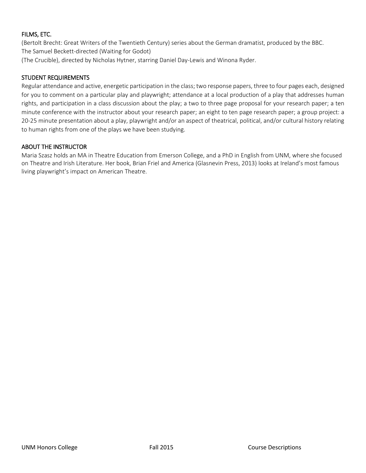#### FILMS, ETC.

(Bertolt Brecht: Great Writers of the Twentieth Century) series about the German dramatist, produced by the BBC. The Samuel Beckett-directed (Waiting for Godot)

(The Crucible), directed by Nicholas Hytner, starring Daniel Day-Lewis and Winona Ryder.

#### STUDENT REQUIREMENTS

Regular attendance and active, energetic participation in the class; two response papers, three to four pages each, designed for you to comment on a particular play and playwright; attendance at a local production of a play that addresses human rights, and participation in a class discussion about the play; a two to three page proposal for your research paper; a ten minute conference with the instructor about your research paper; an eight to ten page research paper; a group project: a 20-25 minute presentation about a play, playwright and/or an aspect of theatrical, political, and/or cultural history relating to human rights from one of the plays we have been studying.

#### ABOUT THE INSTRUCTOR

Maria Szasz holds an MA in Theatre Education from Emerson College, and a PhD in English from UNM, where she focused on Theatre and Irish Literature. Her book, Brian Friel and America (Glasnevin Press, 2013) looks at Ireland's most famous living playwright's impact on American Theatre.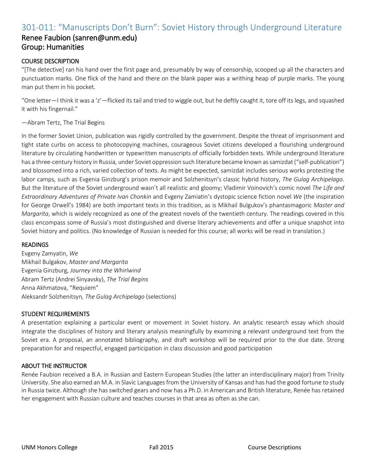# 301-011: "Manuscripts Don't Burn": Soviet History through Underground Literature

### Renee Faubion (sanren@unm.edu) Group: Humanities

#### COURSE DESCRIPTION

"[The detective] ran his hand over the first page and, presumably by way of censorship, scooped up all the characters and punctuation marks. One flick of the hand and there on the blank paper was a writhing heap of purple marks. The young man put them in his pocket.

"One letter—I think it was a 'z'—flicked its tail and tried to wiggle out, but he deftly caught it, tore off its legs, and squashed it with his fingernail."

#### —Abram Tertz, The Trial Begins

In the former Soviet Union, publication was rigidly controlled by the government. Despite the threat of imprisonment and tight state curbs on access to photocopying machines, courageous Soviet citizens developed a flourishing underground literature by circulating handwritten or typewritten manuscripts of officially forbidden texts. While underground literature has a three-century history in Russia, under Soviet oppression such literature became known as samizdat ("self-publication") and blossomed into a rich, varied collection of texts. As might be expected, samizdat includes serious works protesting the labor camps, such as Evgenia Ginzburg's prison memoir and Solzhenitsyn's classic hybrid history, *The Gulag Archipelago*. But the literature of the Soviet underground wasn't all realistic and gloomy; Vladimir Voinovich's comic novel *The Life and Extraordinary Adventures of Private Ivan Chonkin* and Evgeny Zamiatin's dystopic science fiction novel *We* (the inspiration for George Orwell's 1984) are both important texts in this tradition, as is Mikhail Bulgukov's phantasmagoric *Master and Margarita*, which is widely recognized as one of the greatest novels of the twentieth century. The readings covered in this class encompass some of Russia's most distinguished and diverse literary achievements and offer a unique snapshot into Soviet history and politics. (No knowledge of Russian is needed for this course; all works will be read in translation.)

#### **READINGS**

Evgeny Zamyatin, *We* Mikhail Bulgakov, *Master and Margarita* Evgenia Ginzburg, *Journey into the Whirlwind* Abram Tertz (Andrei Sinyavsky), *The Trial Begins* Anna Akhmatova, "Requiem" Aleksandr Solzhenitsyn, *The Gulag Archipelago* (selections)

#### STUDENT REQUIREMENTS

A presentation explaining a particular event or movement in Soviet history. An analytic research essay which should integrate the disciplines of history and literary analysis meaningfully by examining a relevant underground text from the Soviet era. A proposal, an annotated bibliography, and draft workshop will be required prior to the due date. Strong preparation for and respectful, engaged participation in class discussion and good participation

#### ABOUT THE INSTRUCTOR

Renée Faubion received a B.A. in Russian and Eastern European Studies (the latter an interdisciplinary major) from Trinity University. She also earned an M.A. in Slavic Languages from the University of Kansas and has had the good fortune to study in Russia twice. Although she has switched gears and now has a Ph.D. in American and British literature, Renée has retained her engagement with Russian culture and teaches courses in that area as often as she can.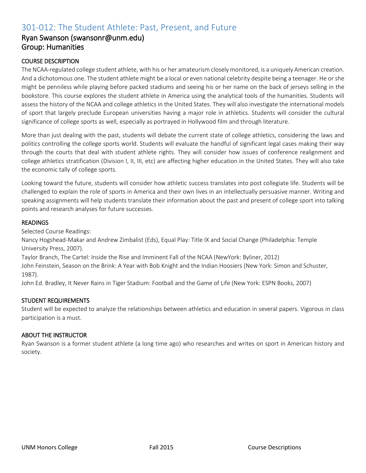# 301-012: The Student Athlete: Past, Present, and Future

### Ryan Swanson (swansonr@unm.edu) Group: Humanities

#### COURSE DESCRIPTION

The NCAA-regulated college student athlete, with his or her amateurism closely monitored, is a uniquely American creation. And a dichotomous one. The student athlete might be a local or even national celebrity despite being a teenager. He or she might be penniless while playing before packed stadiums and seeing his or her name on the back of jerseys selling in the bookstore. This course explores the student athlete in America using the analytical tools of the humanities. Students will assess the history of the NCAA and college athletics in the United States. They will also investigate the international models of sport that largely preclude European universities having a major role in athletics. Students will consider the cultural significance of college sports as well, especially as portrayed in Hollywood film and through literature.

More than just dealing with the past, students will debate the current state of college athletics, considering the laws and politics controlling the college sports world. Students will evaluate the handful of significant legal cases making their way through the courts that deal with student athlete rights. They will consider how issues of conference realignment and college athletics stratification (Division I, II, III, etc) are affecting higher education in the United States. They will also take the economic tally of college sports.

Looking toward the future, students will consider how athletic success translates into post collegiate life. Students will be challenged to explain the role of sports in America and their own lives in an intellectually persuasive manner. Writing and speaking assignments will help students translate their information about the past and present of college sport into talking points and research analyses for future successes.

#### READINGS

Selected Course Readings:

Nancy Hogshead-Makar and Andrew Zimbalist (Eds), Equal Play: Title IX and Social Change (Philadelphia: Temple University Press, 2007).

Taylor Branch, The Cartel: Inside the Rise and Imminent Fall of the NCAA (NewYork: Byliner, 2012)

John Feinstein, Season on the Brink: A Year with Bob Knight and the Indian Hoosiers (New York: Simon and Schuster, 1987).

John Ed. Bradley, It Never Rains in Tiger Stadium: Football and the Game of Life (New York: ESPN Books, 2007)

#### STUDENT REQUIREMENTS

Student will be expected to analyze the relationships between athletics and education in several papers. Vigorous in class participation is a must.

#### ABOUT THE INSTRUCTOR

Ryan Swanson is a former student athlete (a long time ago) who researches and writes on sport in American history and society.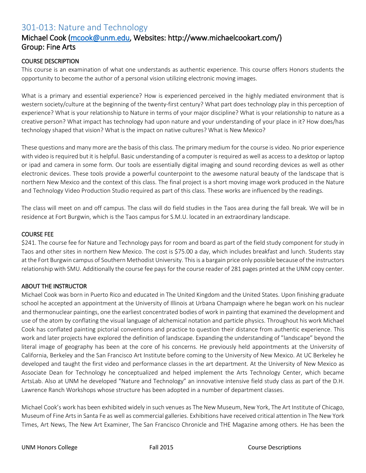# 301-013: Nature and Technology

### Michael Cook [\(mcook@unm.edu,](mailto:mcook@unm.edu) Websites: http://www.michaelcookart.com/) Group: Fine Arts

#### COURSE DESCRIPTION

This course is an examination of what one understands as authentic experience. This course offers Honors students the opportunity to become the author of a personal vision utilizing electronic moving images.

What is a primary and essential experience? How is experienced perceived in the highly mediated environment that is western society/culture at the beginning of the twenty-first century? What part does technology play in this perception of experience? What is your relationship to Nature in terms of your major discipline? What is your relationship to nature as a creative person? What impact has technology had upon nature and your understanding of your place in it? How does/has technology shaped that vision? What is the impact on native cultures? What is New Mexico?

These questions and many more are the basis of this class. The primary medium for the course is video. No prior experience with video is required but it is helpful. Basic understanding of a computer is required as well as access to a desktop or laptop or ipad and camera in some form. Our tools are essentially digital imaging and sound recording devices as well as other electronic devices. These tools provide a powerful counterpoint to the awesome natural beauty of the landscape that is northern New Mexico and the context of this class. The final project is a short moving image work produced in the Nature and Technology Video Production Studio required as part of this class. These works are influenced by the readings.

The class will meet on and off campus. The class will do field studies in the Taos area during the fall break. We will be in residence at Fort Burgwin, which is the Taos campus for S.M.U. located in an extraordinary landscape.

#### COURSE FEE

\$241. The course fee for Nature and Technology pays for room and board as part of the field study component for study in Taos and other sites in northern New Mexico. The cost is \$75.00 a day, which includes breakfast and lunch. Students stay at the Fort Burgwin campus of Southern Methodist University. This is a bargain price only possible because of the instructors relationship with SMU. Additionally the course fee pays for the course reader of 281 pages printed at the UNM copy center.

#### ABOUT THE INSTRUCTOR

Michael Cook was born in Puerto Rico and educated in The United Kingdom and the United States. Upon finishing graduate school he accepted an appointment at the University of Illinois at Urbana Champaign where he began work on his nuclear and thermonuclear paintings, one the earliest concentrated bodies of work in painting that examined the development and use of the atom by conflating the visual language of alchemical notation and particle physics. Throughout his work Michael Cook has conflated painting pictorial conventions and practice to question their distance from authentic experience. This work and later projects have explored the definition of landscape. Expanding the understanding of "landscape" beyond the literal image of geography has been at the core of his concerns. He previously held appointments at the University of California, Berkeley and the San Francisco Art Institute before coming to the University of New Mexico. At UC Berkeley he developed and taught the first video and performance classes in the art department. At the University of New Mexico as Associate Dean for Technology he conceptualized and helped implement the Arts Technology Center, which became ArtsLab. Also at UNM he developed "Nature and Technology" an innovative intensive field study class as part of the D.H. Lawrence Ranch Workshops whose structure has been adopted in a number of department classes.

Michael Cook's work has been exhibited widely in such venues as The New Museum, New York, The Art Institute of Chicago, Museum of Fine Arts in Santa Fe as well as commercial galleries. Exhibitions have received critical attention in The New York Times, Art News, The New Art Examiner, The San Francisco Chronicle and THE Magazine among others. He has been the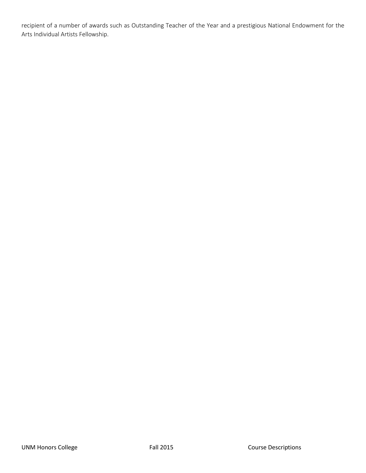recipient of a number of awards such as Outstanding Teacher of the Year and a prestigious National Endowment for the Arts Individual Artists Fellowship.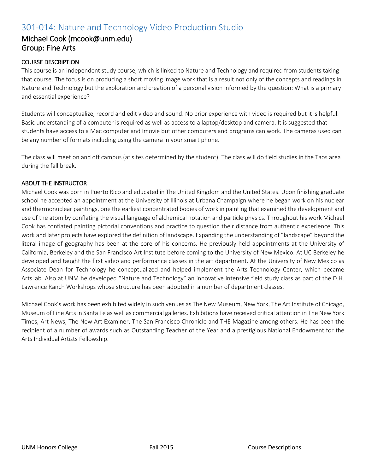# 301-014: Nature and Technology Video Production Studio

### Michael Cook (mcook@unm.edu) Group: Fine Arts

#### COURSE DESCRIPTION

This course is an independent study course, which is linked to Nature and Technology and required from students taking that course. The focus is on producing a short moving image work that is a result not only of the concepts and readings in Nature and Technology but the exploration and creation of a personal vision informed by the question: What is a primary and essential experience?

Students will conceptualize, record and edit video and sound. No prior experience with video is required but it is helpful. Basic understanding of a computer is required as well as access to a laptop/desktop and camera. It is suggested that students have access to a Mac computer and Imovie but other computers and programs can work. The cameras used can be any number of formats including using the camera in your smart phone.

The class will meet on and off campus (at sites determined by the student). The class will do field studies in the Taos area during the fall break.

#### ABOUT THE INSTRUCTOR

Michael Cook was born in Puerto Rico and educated in The United Kingdom and the United States. Upon finishing graduate school he accepted an appointment at the University of Illinois at Urbana Champaign where he began work on his nuclear and thermonuclear paintings, one the earliest concentrated bodies of work in painting that examined the development and use of the atom by conflating the visual language of alchemical notation and particle physics. Throughout his work Michael Cook has conflated painting pictorial conventions and practice to question their distance from authentic experience. This work and later projects have explored the definition of landscape. Expanding the understanding of "landscape" beyond the literal image of geography has been at the core of his concerns. He previously held appointments at the University of California, Berkeley and the San Francisco Art Institute before coming to the University of New Mexico. At UC Berkeley he developed and taught the first video and performance classes in the art department. At the University of New Mexico as Associate Dean for Technology he conceptualized and helped implement the Arts Technology Center, which became ArtsLab. Also at UNM he developed "Nature and Technology" an innovative intensive field study class as part of the D.H. Lawrence Ranch Workshops whose structure has been adopted in a number of department classes.

Michael Cook's work has been exhibited widely in such venues as The New Museum, New York, The Art Institute of Chicago, Museum of Fine Arts in Santa Fe as well as commercial galleries. Exhibitions have received critical attention in The New York Times, Art News, The New Art Examiner, The San Francisco Chronicle and THE Magazine among others. He has been the recipient of a number of awards such as Outstanding Teacher of the Year and a prestigious National Endowment for the Arts Individual Artists Fellowship.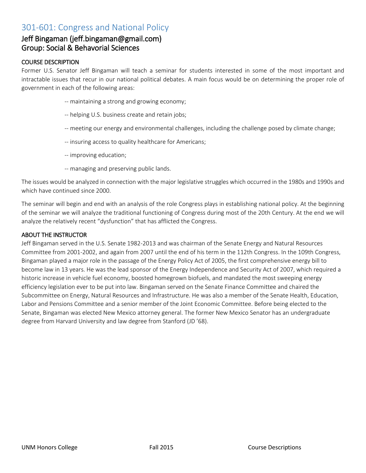# 301-601: Congress and National Policy

### Jeff Bingaman (jeff.bingaman@gmail.com) Group: Social & Behavorial Sciences

#### COURSE DESCRIPTION

Former U.S. Senator Jeff Bingaman will teach a seminar for students interested in some of the most important and intractable issues that recur in our national political debates. A main focus would be on determining the proper role of government in each of the following areas:

- -- maintaining a strong and growing economy;
- -- helping U.S. business create and retain jobs;
- -- meeting our energy and environmental challenges, including the challenge posed by climate change;
- -- insuring access to quality healthcare for Americans;
- -- improving education;
- -- managing and preserving public lands.

The issues would be analyzed in connection with the major legislative struggles which occurred in the 1980s and 1990s and which have continued since 2000.

The seminar will begin and end with an analysis of the role Congress plays in establishing national policy. At the beginning of the seminar we will analyze the traditional functioning of Congress during most of the 20th Century. At the end we will analyze the relatively recent "dysfunction" that has afflicted the Congress.

#### ABOUT THE INSTRUCTOR

Jeff Bingaman served in the U.S. Senate 1982-2013 and was chairman of the Senate Energy and Natural Resources Committee from 2001-2002, and again from 2007 until the end of his term in the 112th Congress. In the 109th Congress, Bingaman played a major role in the passage of the Energy Policy Act of 2005, the first comprehensive energy bill to become law in 13 years. He was the lead sponsor of the Energy Independence and Security Act of 2007, which required a historic increase in vehicle fuel economy, boosted homegrown biofuels, and mandated the most sweeping energy efficiency legislation ever to be put into law. Bingaman served on the Senate Finance Committee and chaired the Subcommittee on Energy, Natural Resources and Infrastructure. He was also a member of the Senate Health, Education, Labor and Pensions Committee and a senior member of the Joint Economic Committee. Before being elected to the Senate, Bingaman was elected New Mexico attorney general. The former New Mexico Senator has an undergraduate degree from Harvard University and law degree from Stanford (JD '68).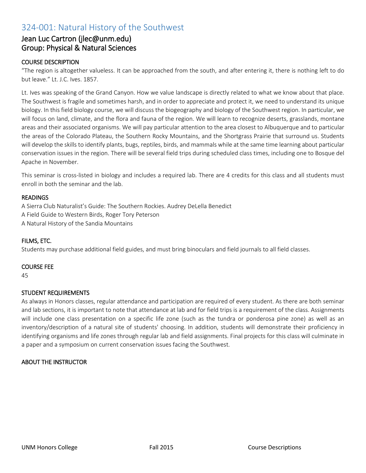# 324-001: Natural History of the Southwest

### Jean Luc Cartron (jlec@unm.edu) Group: Physical & Natural Sciences

#### COURSE DESCRIPTION

"The region is altogether valueless. It can be approached from the south, and after entering it, there is nothing left to do but leave." Lt. J.C. Ives. 1857.

Lt. Ives was speaking of the Grand Canyon. How we value landscape is directly related to what we know about that place. The Southwest is fragile and sometimes harsh, and in order to appreciate and protect it, we need to understand its unique biology. In this field biology course, we will discuss the biogeography and biology of the Southwest region. In particular, we will focus on land, climate, and the flora and fauna of the region. We will learn to recognize deserts, grasslands, montane areas and their associated organisms. We will pay particular attention to the area closest to Albuquerque and to particular the areas of the Colorado Plateau, the Southern Rocky Mountains, and the Shortgrass Prairie that surround us. Students will develop the skills to identify plants, bugs, reptiles, birds, and mammals while at the same time learning about particular conservation issues in the region. There will be several field trips during scheduled class times, including one to Bosque del Apache in November.

This seminar is cross-listed in biology and includes a required lab. There are 4 credits for this class and all students must enroll in both the seminar and the lab.

#### READINGS

A Sierra Club Naturalist's Guide: The Southern Rockies. Audrey DeLella Benedict A Field Guide to Western Birds, Roger Tory Peterson A Natural History of the Sandia Mountains

#### FILMS, ETC.

Students may purchase additional field guides, and must bring binoculars and field journals to all field classes.

#### COURSE FEE

45

#### STUDENT REQUIREMENTS

As always in Honors classes, regular attendance and participation are required of every student. As there are both seminar and lab sections, it is important to note that attendance at lab and for field trips is a requirement of the class. Assignments will include one class presentation on a specific life zone (such as the tundra or ponderosa pine zone) as well as an inventory/description of a natural site of students' choosing. In addition, students will demonstrate their proficiency in identifying organisms and life zones through regular lab and field assignments. Final projects for this class will culminate in a paper and a symposium on current conservation issues facing the Southwest.

#### ABOUT THE INSTRUCTOR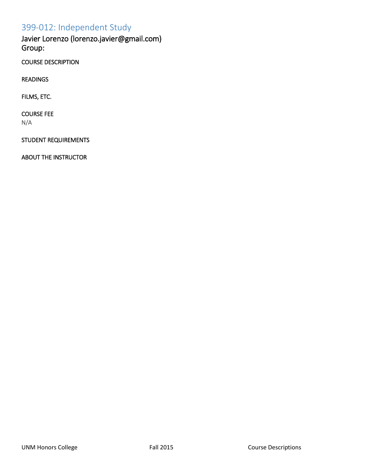# 399-012: Independent Study

Javier Lorenzo (lorenzo.javier@gmail.com) Group:

COURSE DESCRIPTION

READINGS

FILMS, ETC.

COURSE FEE N/A

STUDENT REQUIREMENTS

ABOUT THE INSTRUCTOR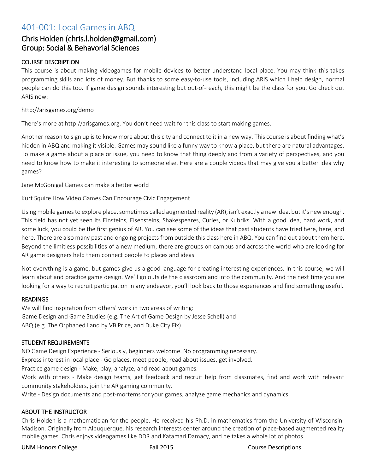### 401-001: Local Games in ABQ

### Chris Holden (chris.l.holden@gmail.com) Group: Social & Behavorial Sciences

#### COURSE DESCRIPTION

This course is about making videogames for mobile devices to better understand local place. You may think this takes programming skills and lots of money. But thanks to some easy-to-use tools, including ARIS which I help design, normal people can do this too. If game design sounds interesting but out-of-reach, this might be the class for you. Go check out ARIS now:

#### http://arisgames.org/demo

There's more at http://arisgames.org. You don't need wait for this class to start making games.

Another reason to sign up is to know more about this city and connect to it in a new way. This course is about finding what's hidden in ABQ and making it visible. Games may sound like a funny way to know a place, but there are natural advantages. To make a game about a place or issue, you need to know that thing deeply and from a variety of perspectives, and you need to know how to make it interesting to someone else. Here are a couple videos that may give you a better idea why games?

Jane McGonigal Games can make a better world

Kurt Squire How Video Games Can Encourage Civic Engagement

Using mobile games to explore place, sometimes called augmented reality (AR), isn't exactly a new idea, but it's new enough. This field has not yet seen its Einsteins, Eisensteins, Shakespeares, Curies, or Kubriks. With a good idea, hard work, and some luck, you could be the first genius of AR. You can see some of the ideas that past students have tried here, here, and here. There are also many past and ongoing projects from outside this class here in ABQ. You can find out about them here. Beyond the limitless possibilities of a new medium, there are groups on campus and across the world who are looking for AR game designers help them connect people to places and ideas.

Not everything is a game, but games give us a good language for creating interesting experiences. In this course, we will learn about and practice game design. We'll go outside the classroom and into the community. And the next time you are looking for a way to recruit participation in any endeavor, you'll look back to those experiences and find something useful.

#### READINGS

We will find inspiration from others' work in two areas of writing: Game Design and Game Studies (e.g. The Art of Game Design by Jesse Schell) and ABQ (e.g. The Orphaned Land by VB Price, and Duke City Fix)

#### STUDENT REQUIREMENTS

NO Game Design Experience - Seriously, beginners welcome. No programming necessary.

Express interest in local place - Go places, meet people, read about issues, get involved.

Practice game design - Make, play, analyze, and read about games.

Work with others - Make design teams, get feedback and recruit help from classmates, find and work with relevant community stakeholders, join the AR gaming community.

Write - Design documents and post-mortems for your games, analyze game mechanics and dynamics.

#### ABOUT THE INSTRUCTOR

Chris Holden is a mathematician for the people. He received his Ph.D. in mathematics from the University of Wisconsin-Madison. Originally from Albuquerque, his research interests center around the creation of place-based augmented reality mobile games. Chris enjoys videogames like DDR and Katamari Damacy, and he takes a whole lot of photos.

UNM Honors College Fall 2015 Course Descriptions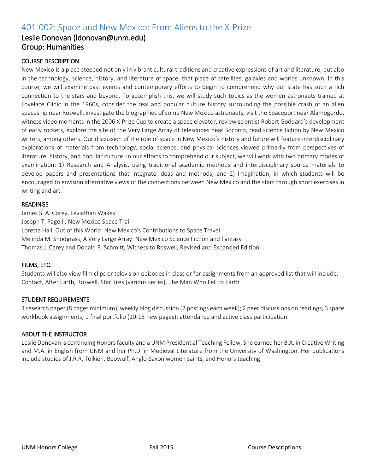# 401-002: Space and New Mexico: From Aliens to the X-Prize

### Leslie Donovan (ldonovan@unm.edu) Group: Humanities

#### COURSE DESCRIPTION

New Mexico is a place steeped not only in vibrant cultural traditions and creative expressions of art and literature, but also in the technology, science, history, and literature of space, that place of satellites, galaxies and worlds unknown. In this course, we will examine past events and contemporary efforts to begin to comprehend why our state has such a rich connection to the stars and beyond. To accomplish this, we will study such topics as the women astronauts trained at Lovelace Clinic in the 1960s, consider the real and popular culture history surrounding the possible crash of an alien spaceship near Roswell, investigate the biographies of some New Mexico astronauts, visit the Spaceport near Alamogordo, witness video moments in the 2006 X-Prize Cup to create a space elevator, review scientist Robert Goddard's development of early rockets, explore the site of the Very Large Array of telescopes near Socorro, read science fiction by New Mexico writers, among others. Our discussion of the role of space in New Mexico's history and future will feature interdisciplinary explorations of materials from technology, social science, and physical sciences viewed primarily from perspectives of literature, history, and popular culture. In our efforts to comprehend our subject, we will work with two primary modes of examination: 1) Research and Analysis, using traditional academic methods and interdisciplinary source materials to develop papers and presentations that integrate ideas and methods; and 2) Imagination, in which students will be encouraged to envision alternative views of the connections between New Mexico and the stars through short exercises in writing and art.

#### READINGS

James S. A. Corey, Leviathan Wakes Joseph T. Page II, New Mexico Space Trail Loretta Hall, Out of this World: New Mexico's Contributions to Space Travel Melinda M. Snodgrass, A Very Large Array: New Mexico Science Fiction and Fantasy Thomas J. Carey and Donald R. Schmitt, Witness to Roswell, Revised and Expanded Edition

#### FILMS, ETC.

Students will also view film clips or television episodes in class or for assignments from an approved list that will include: Contact, After Earth, Roswell, Star Trek (various series), The Man Who Fell to Earth

#### STUDENT REQUIREMENTS

1 research paper (8 pages minimum), weekly blog discussion (2 postings each week); 2 peer discussions on readings; 3 space workbook assignments; 1 final portfolio (10-15 new pages); attendance and active class participation.

#### ABOUT THE INSTRUCTOR

Leslie Donovan is continuing Honors faculty and a UNM Presidential Teaching Fellow. She earned her B.A. in Creative Writing and M.A. in English from UNM and her Ph.D. in Medieval Literature from the University of Washington. Her publications include studies of J.R.R. Tolkien, Beowulf, Anglo-Saxon women saints, and Honors teaching.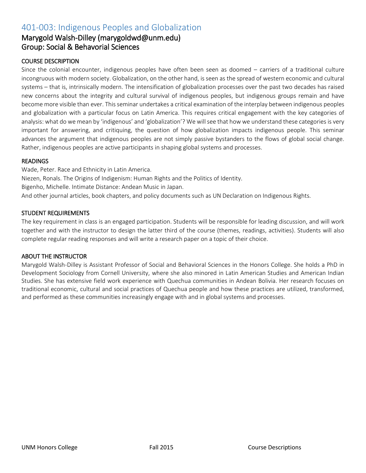# 401-003: Indigenous Peoples and Globalization

### Marygold Walsh-Dilley (marygoldwd@unm.edu) Group: Social & Behavorial Sciences

#### COURSE DESCRIPTION

Since the colonial encounter, indigenous peoples have often been seen as doomed – carriers of a traditional culture incongruous with modern society. Globalization, on the other hand, is seen as the spread of western economic and cultural systems – that is, intrinsically modern. The intensification of globalization processes over the past two decades has raised new concerns about the integrity and cultural survival of indigenous peoples, but indigenous groups remain and have become more visible than ever. This seminar undertakes a critical examination of the interplay between indigenous peoples and globalization with a particular focus on Latin America. This requires critical engagement with the key categories of analysis: what do we mean by 'indigenous' and 'globalization'? We will see that how we understand these categories is very important for answering, and critiquing, the question of how globalization impacts indigenous people. This seminar advances the argument that indigenous peoples are not simply passive bystanders to the flows of global social change. Rather, indigenous peoples are active participants in shaping global systems and processes.

#### **READINGS**

Wade, Peter. Race and Ethnicity in Latin America. Niezen, Ronals. The Origins of Indigenism: Human Rights and the Politics of Identity. Bigenho, Michelle. Intimate Distance: Andean Music in Japan. And other journal articles, book chapters, and policy documents such as UN Declaration on Indigenous Rights.

#### STUDENT REQUIREMENTS

The key requirement in class is an engaged participation. Students will be responsible for leading discussion, and will work together and with the instructor to design the latter third of the course (themes, readings, activities). Students will also complete regular reading responses and will write a research paper on a topic of their choice.

#### ABOUT THE INSTRUCTOR

Marygold Walsh-Dilley is Assistant Professor of Social and Behavioral Sciences in the Honors College. She holds a PhD in Development Sociology from Cornell University, where she also minored in Latin American Studies and American Indian Studies. She has extensive field work experience with Quechua communities in Andean Bolivia. Her research focuses on traditional economic, cultural and social practices of Quechua people and how these practices are utilized, transformed, and performed as these communities increasingly engage with and in global systems and processes.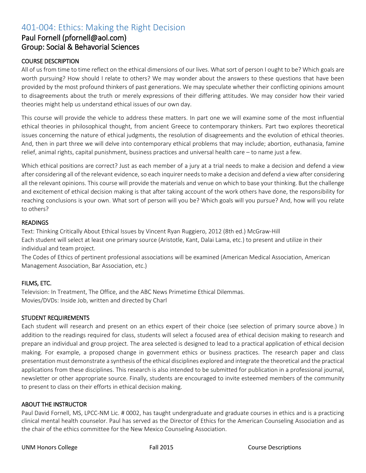# 401-004: Ethics: Making the Right Decision

### Paul Fornell (pfornell@aol.com) Group: Social & Behavorial Sciences

#### COURSE DESCRIPTION

All of us from time to time reflect on the ethical dimensions of our lives. What sort of person I ought to be? Which goals are worth pursuing? How should I relate to others? We may wonder about the answers to these questions that have been provided by the most profound thinkers of past generations. We may speculate whether their conflicting opinions amount to disagreements about the truth or merely expressions of their differing attitudes. We may consider how their varied theories might help us understand ethical issues of our own day.

This course will provide the vehicle to address these matters. In part one we will examine some of the most influential ethical theories in philosophical thought, from ancient Greece to contemporary thinkers. Part two explores theoretical issues concerning the nature of ethical judgments, the resolution of disagreements and the evolution of ethical theories. And, then in part three we will delve into contemporary ethical problems that may include; abortion, euthanasia, famine relief, animal rights, capital punishment, business practices and universal health care – to name just a few.

Which ethical positions are correct? Just as each member of a jury at a trial needs to make a decision and defend a view after considering all of the relevant evidence, so each inquirer needs to make a decision and defend a view after considering all the relevant opinions. This course will provide the materials and venue on which to base your thinking. But the challenge and excitement of ethical decision making is that after taking account of the work others have done, the responsibility for reaching conclusions is your own. What sort of person will you be? Which goals will you pursue? And, how will you relate to others?

#### READINGS

Text: Thinking Critically About Ethical Issues by Vincent Ryan Ruggiero, 2012 (8th ed.) McGraw-Hill Each student will select at least one primary source (Aristotle, Kant, Dalai Lama, etc.) to present and utilize in their individual and team project.

The Codes of Ethics of pertinent professional associations will be examined (American Medical Association, American Management Association, Bar Association, etc.)

#### FILMS, ETC.

Television: In Treatment, The Office, and the ABC News Primetime Ethical Dilemmas. Movies/DVDs: Inside Job, written and directed by Charl

#### STUDENT REQUIREMENTS

Each student will research and present on an ethics expert of their choice (see selection of primary source above.) In addition to the readings required for class, students will select a focused area of ethical decision making to research and prepare an individual and group project. The area selected is designed to lead to a practical application of ethical decision making. For example, a proposed change in government ethics or business practices. The research paper and class presentation must demonstrate a synthesis of the ethical disciplines explored and integrate the theoretical and the practical applications from these disciplines. This research is also intended to be submitted for publication in a professional journal, newsletter or other appropriate source. Finally, students are encouraged to invite esteemed members of the community to present to class on their efforts in ethical decision making.

#### ABOUT THE INSTRUCTOR

Paul David Fornell, MS, LPCC-NM Lic. # 0002, has taught undergraduate and graduate courses in ethics and is a practicing clinical mental health counselor. Paul has served as the Director of Ethics for the American Counseling Association and as the chair of the ethics committee for the New Mexico Counseling Association.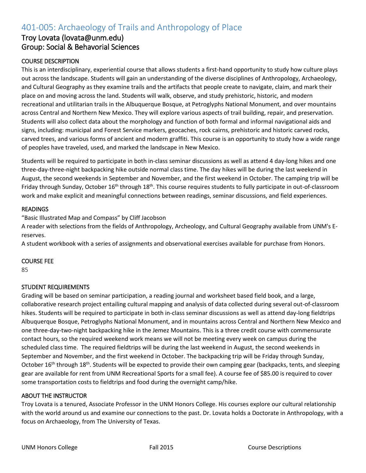# 401-005: Archaeology of Trails and Anthropology of Place

### Troy Lovata (lovata@unm.edu) Group: Social & Behavorial Sciences

#### COURSE DESCRIPTION

This is an interdisciplinary, experiential course that allows students a first-hand opportunity to study how culture plays out across the landscape. Students will gain an understanding of the diverse disciplines of Anthropology, Archaeology, and Cultural Geography as they examine trails and the artifacts that people create to navigate, claim, and mark their place on and moving across the land. Students will walk, observe, and study prehistoric, historic, and modern recreational and utilitarian trails in the Albuquerque Bosque, at Petroglyphs National Monument, and over mountains across Central and Northern New Mexico. They will explore various aspects of trail building, repair, and preservation. Students will also collect data about the morphology and function of both formal and informal navigational aids and signs, including: municipal and Forest Service markers, geocaches, rock cairns, prehistoric and historic carved rocks, carved trees, and various forms of ancient and modern graffiti. This course is an opportunity to study how a wide range of peoples have traveled, used, and marked the landscape in New Mexico.

Students will be required to participate in both in-class seminar discussions as well as attend 4 day-long hikes and one three-day-three-night backpacking hike outside normal class time. The day hikes will be during the last weekend in August, the second weekends in September and November, and the first weekend in October. The camping trip will be Friday through Sunday, October 16<sup>th</sup> through 18<sup>th</sup>. This course requires students to fully participate in out-of-classroom work and make explicit and meaningful connections between readings, seminar discussions, and field experiences.

#### **READINGS**

"Basic Illustrated Map and Compass" by Cliff Jacobson

A reader with selections from the fields of Anthropology, Archeology, and Cultural Geography available from UNM's Ereserves.

A student workbook with a series of assignments and observational exercises available for purchase from Honors.

#### COURSE FEE

85

#### STUDENT REQUIREMENTS

Grading will be based on seminar participation, a reading journal and worksheet based field book, and a large, collaborative research project entailing cultural mapping and analysis of data collected during several out-of-classroom hikes. Students will be required to participate in both in-class seminar discussions as well as attend day-long fieldtrips Albuquerque Bosque, Petroglyphs National Monument, and in mountains across Central and Northern New Mexico and one three-day-two-night backpacking hike in the Jemez Mountains. This is a three credit course with commensurate contact hours, so the required weekend work means we will not be meeting every week on campus during the scheduled class time. The required fieldtrips will be during the last weekend in August, the second weekends in September and November, and the first weekend in October. The backpacking trip will be Friday through Sunday, October 16<sup>th</sup> through 18<sup>th</sup>. Students will be expected to provide their own camping gear (backpacks, tents, and sleeping gear are available for rent from UNM Recreational Sports for a small fee). A course fee of \$85.00 is required to cover some transportation costs to fieldtrips and food during the overnight camp/hike.

#### ABOUT THE INSTRUCTOR

Troy Lovata is a tenured, Associate Professor in the UNM Honors College. His courses explore our cultural relationship with the world around us and examine our connections to the past. Dr. Lovata holds a Doctorate in Anthropology, with a focus on Archaeology, from The University of Texas.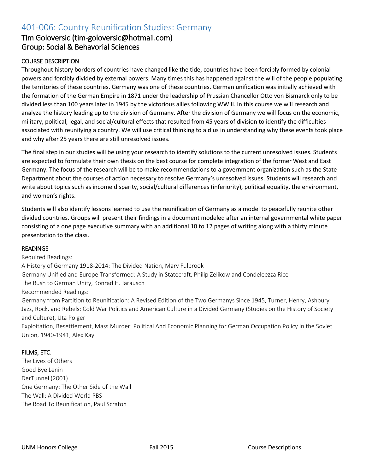# 401-006: Country Reunification Studies: Germany

### Tim Goloversic (tim-goloversic@hotmail.com) Group: Social & Behavorial Sciences

#### COURSE DESCRIPTION

Throughout history borders of countries have changed like the tide, countries have been forcibly formed by colonial powers and forcibly divided by external powers. Many times this has happened against the will of the people populating the territories of these countries. Germany was one of these countries. German unification was initially achieved with the formation of the German Empire in 1871 under the leadership of Prussian Chancellor Otto von Bismarck only to be divided less than 100 years later in 1945 by the victorious allies following WW II. In this course we will research and analyze the history leading up to the division of Germany. After the division of Germany we will focus on the economic, military, political, legal, and social/cultural effects that resulted from 45 years of division to identify the difficulties associated with reunifying a country. We will use critical thinking to aid us in understanding why these events took place and why after 25 years there are still unresolved issues.

The final step in our studies will be using your research to identify solutions to the current unresolved issues. Students are expected to formulate their own thesis on the best course for complete integration of the former West and East Germany. The focus of the research will be to make recommendations to a government organization such as the State Department about the courses of action necessary to resolve Germany's unresolved issues. Students will research and write about topics such as income disparity, social/cultural differences (inferiority), political equality, the environment, and women's rights.

Students will also identify lessons learned to use the reunification of Germany as a model to peacefully reunite other divided countries. Groups will present their findings in a document modeled after an internal governmental white paper consisting of a one page executive summary with an additional 10 to 12 pages of writing along with a thirty minute presentation to the class.

#### READINGS

Required Readings: A History of Germany 1918-2014: The Divided Nation, Mary Fulbrook Germany Unified and Europe Transformed: A Study in Statecraft, Philip Zelikow and Condeleezza Rice The Rush to German Unity, Konrad H. Jarausch Recommended Readings: Germany from Partition to Reunification: A Revised Edition of the Two Germanys Since 1945, Turner, Henry, Ashbury Jazz, Rock, and Rebels: Cold War Politics and American Culture in a Divided Germany (Studies on the History of Society

and Culture), Uta Poiger Exploitation, Resettlement, Mass Murder: Political And Economic Planning for German Occupation Policy in the Soviet

Union, 1940-1941, Alex Kay

#### FILMS, ETC.

The Lives of Others Good Bye Lenin DerTunnel (2001) One Germany: The Other Side of the Wall The Wall: A Divided World PBS The Road To Reunification, Paul Scraton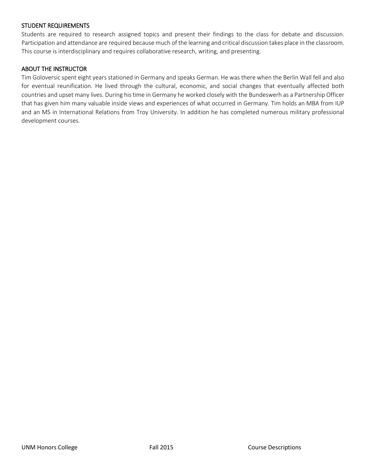#### STUDENT REQUIREMENTS

Students are required to research assigned topics and present their findings to the class for debate and discussion. Participation and attendance are required because much of the learning and critical discussion takes place in the classroom. This course is interdisciplinary and requires collaborative research, writing, and presenting.

#### ABOUT THE INSTRUCTOR

Tim Goloversic spent eight years stationed in Germany and speaks German. He was there when the Berlin Wall fell and also for eventual reunification. He lived through the cultural, economic, and social changes that eventually affected both countries and upset many lives. During his time in Germany he worked closely with the Bundeswerh as a Partnership Officer that has given him many valuable inside views and experiences of what occurred in Germany. Tim holds an MBA from IUP and an MS in International Relations from Troy University. In addition he has completed numerous military professional development courses.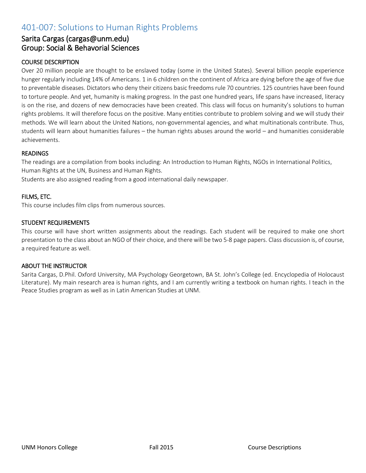# 401-007: Solutions to Human Rights Problems

### Sarita Cargas (cargas@unm.edu) Group: Social & Behavorial Sciences

#### COURSE DESCRIPTION

Over 20 million people are thought to be enslaved today (some in the United States). Several billion people experience hunger regularly including 14% of Americans. 1 in 6 children on the continent of Africa are dying before the age of five due to preventable diseases. Dictators who deny their citizens basic freedoms rule 70 countries. 125 countries have been found to torture people. And yet, humanity is making progress. In the past one hundred years, life spans have increased, literacy is on the rise, and dozens of new democracies have been created. This class will focus on humanity's solutions to human rights problems. It will therefore focus on the positive. Many entities contribute to problem solving and we will study their methods. We will learn about the United Nations, non-governmental agencies, and what multinationals contribute. Thus, students will learn about humanities failures – the human rights abuses around the world – and humanities considerable achievements.

#### **READINGS**

The readings are a compilation from books including: An Introduction to Human Rights, NGOs in International Politics, Human Rights at the UN, Business and Human Rights.

Students are also assigned reading from a good international daily newspaper.

#### FILMS, ETC.

This course includes film clips from numerous sources.

#### STUDENT REQUIREMENTS

This course will have short written assignments about the readings. Each student will be required to make one short presentation to the class about an NGO of their choice, and there will be two 5-8 page papers. Class discussion is, of course, a required feature as well.

#### ABOUT THE INSTRUCTOR

Sarita Cargas, D.Phil. Oxford University, MA Psychology Georgetown, BA St. John's College (ed. Encyclopedia of Holocaust Literature). My main research area is human rights, and I am currently writing a textbook on human rights. I teach in the Peace Studies program as well as in Latin American Studies at UNM.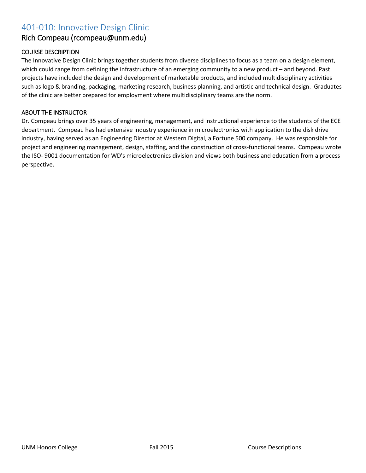# 401-010: Innovative Design Clinic

### Rich Compeau (rcompeau@unm.edu)

#### COURSE DESCRIPTION

The Innovative Design Clinic brings together students from diverse disciplines to focus as a team on a design element, which could range from defining the infrastructure of an emerging community to a new product – and beyond. Past projects have included the design and development of marketable products, and included multidisciplinary activities such as logo & branding, packaging, marketing research, business planning, and artistic and technical design. Graduates of the clinic are better prepared for employment where multidisciplinary teams are the norm.

#### ABOUT THE INSTRUCTOR

Dr. Compeau brings over 35 years of engineering, management, and instructional experience to the students of the ECE department. Compeau has had extensive industry experience in microelectronics with application to the disk drive industry, having served as an Engineering Director at Western Digital, a Fortune 500 company. He was responsible for project and engineering management, design, staffing, and the construction of cross-functional teams. Compeau wrote the ISO- 9001 documentation for WD's microelectronics division and views both business and education from a process perspective.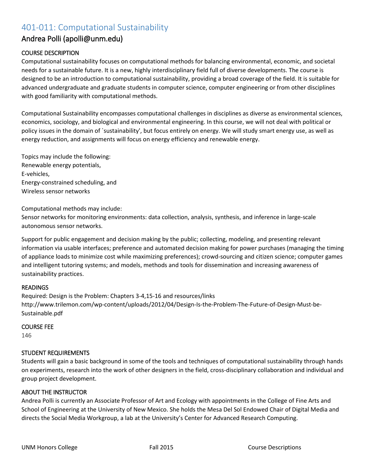# 401-011: Computational Sustainability

### Andrea Polli (apolli@unm.edu)

#### COURSE DESCRIPTION

Computational sustainability focuses on computational methods for balancing environmental, economic, and societal needs for a sustainable future. It is a new, highly interdisciplinary field full of diverse developments. The course is designed to be an introduction to computational sustainability, providing a broad coverage of the field. It is suitable for advanced undergraduate and graduate students in computer science, computer engineering or from other disciplines with good familiarity with computational methods.

Computational Sustainability encompasses computational challenges in disciplines as diverse as environmental sciences, economics, sociology, and biological and environmental engineering. In this course, we will not deal with political or policy issues in the domain of `sustainability', but focus entirely on energy. We will study smart energy use, as well as energy reduction, and assignments will focus on energy efficiency and renewable energy.

Topics may include the following: Renewable energy potentials, E-vehicles, Energy-constrained scheduling, and Wireless sensor networks

Computational methods may include:

Sensor networks for monitoring environments: data collection, analysis, synthesis, and inference in large-scale autonomous sensor networks.

Support for public engagement and decision making by the public; collecting, modeling, and presenting relevant information via usable interfaces; preference and automated decision making for power purchases (managing the timing of appliance loads to minimize cost while maximizing preferences); crowd-sourcing and citizen science; computer games and intelligent tutoring systems; and models, methods and tools for dissemination and increasing awareness of sustainability practices.

#### READINGS

Required: Design is the Problem: Chapters 3-4,15-16 and resources/links [http://www.trilemon.com/wp-content/uploads/2012/04/Design-Is-the-Problem-The-Future-of-Design-Must-be-](http://www.trilemon.com/wp-content/uploads/2012/04/Design-Is-the-Problem-The-Future-of-Design-Must-be-Sustainable.pdf)[Sustainable.pdf](http://www.trilemon.com/wp-content/uploads/2012/04/Design-Is-the-Problem-The-Future-of-Design-Must-be-Sustainable.pdf)

#### COURSE FEE

146

#### STUDENT REQUIREMENTS

Students will gain a basic background in some of the tools and techniques of computational sustainability through hands on experiments, research into the work of other designers in the field, cross-disciplinary collaboration and individual and group project development.

#### ABOUT THE INSTRUCTOR

Andrea Polli is currently an Associate Professor of Art and Ecology with appointments in the College of Fine Arts and School of Engineering at the University of New Mexico. She holds the Mesa Del Sol Endowed Chair of Digital Media and directs the Social Media Workgroup, a lab at the University's Center for Advanced Research Computing.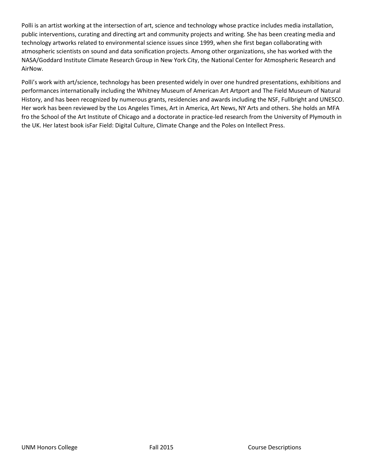Polli is an artist working at the intersection of art, science and technology whose practice includes media installation, public interventions, curating and directing art and community projects and writing. She has been creating media and technology artworks related to environmental science issues since 1999, when she first began collaborating with atmospheric scientists on sound and data sonification projects. Among other organizations, she has worked with the NASA/Goddard Institute Climate Research Group in New York City, the National Center for Atmospheric Research and AirNow.

Polli's work with art/science, technology has been presented widely in over one hundred presentations, exhibitions and performances internationally including the Whitney Museum of American Art Artport and The Field Museum of Natural History, and has been recognized by numerous grants, residencies and awards including the NSF, Fullbright and UNESCO. Her work has been reviewed by the Los Angeles Times, Art in America, Art News, NY Arts and others. She holds an MFA fro the School of the Art Institute of Chicago and a doctorate in practice-led research from the University of Plymouth in the UK. Her latest book isFar Field: Digital Culture, Climate Change and the Poles on Intellect Press.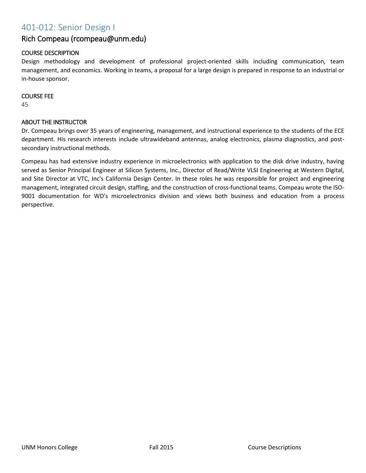# 401-012: Senior Design I

## Rich Compeau (rcompeau@unm.edu)

## COURSE DESCRIPTION

Design methodology and development of professional project-oriented skills including communication, team management, and economics. Working in teams, a proposal for a large design is prepared in response to an industrial or in-house sponsor.

#### COURSE FEE

45

### ABOUT THE INSTRUCTOR

Dr. Compeau brings over 35 years of engineering, management, and instructional experience to the students of the ECE department. His research interests include ultrawideband antennas, analog electronics, plasma diagnostics, and postsecondary instructional methods.

Compeau has had extensive industry experience in microelectronics with application to the disk drive industry, having served as Senior Principal Engineer at Silicon Systems, Inc., Director of Read/Write VLSI Engineering at Western Digital, and Site Director at VTC, Inc's California Design Center. In these roles he was responsible for project and engineering management, integrated circuit design, staffing, and the construction of cross-functional teams. Compeau wrote the ISO-9001 documentation for WD's microelectronics division and views both business and education from a process perspective.